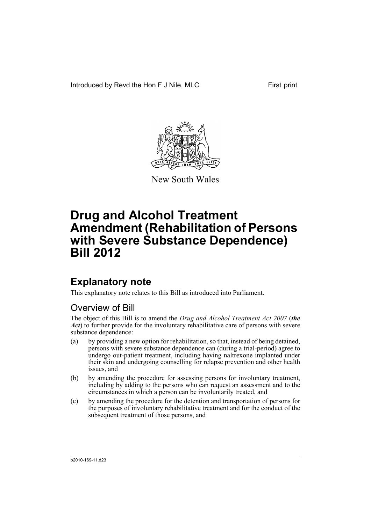Introduced by Revd the Hon F J Nile, MLC First print



New South Wales

# **Drug and Alcohol Treatment Amendment (Rehabilitation of Persons with Severe Substance Dependence) Bill 2012**

## **Explanatory note**

This explanatory note relates to this Bill as introduced into Parliament.

## Overview of Bill

The object of this Bill is to amend the *Drug and Alcohol Treatment Act 2007* (*the Act*) to further provide for the involuntary rehabilitative care of persons with severe substance dependence:

- (a) by providing a new option for rehabilitation, so that, instead of being detained, persons with severe substance dependence can (during a trial-period) agree to undergo out-patient treatment, including having naltrexone implanted under their skin and undergoing counselling for relapse prevention and other health issues, and
- (b) by amending the procedure for assessing persons for involuntary treatment, including by adding to the persons who can request an assessment and to the circumstances in which a person can be involuntarily treated, and
- (c) by amending the procedure for the detention and transportation of persons for the purposes of involuntary rehabilitative treatment and for the conduct of the subsequent treatment of those persons, and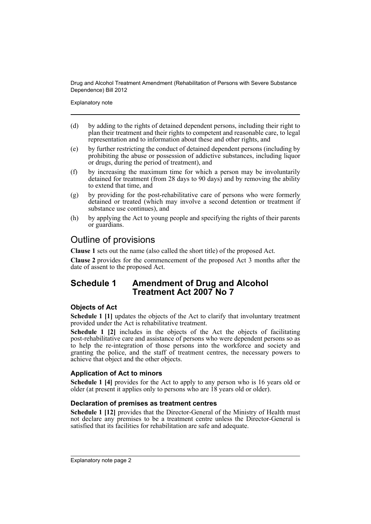Explanatory note

- (d) by adding to the rights of detained dependent persons, including their right to plan their treatment and their rights to competent and reasonable care, to legal representation and to information about these and other rights, and
- (e) by further restricting the conduct of detained dependent persons (including by prohibiting the abuse or possession of addictive substances, including liquor or drugs, during the period of treatment), and
- (f) by increasing the maximum time for which a person may be involuntarily detained for treatment (from 28 days to 90 days) and by removing the ability to extend that time, and
- (g) by providing for the post-rehabilitative care of persons who were formerly detained or treated (which may involve a second detention or treatment if substance use continues), and
- (h) by applying the Act to young people and specifying the rights of their parents or guardians.

## Outline of provisions

**Clause 1** sets out the name (also called the short title) of the proposed Act.

**Clause 2** provides for the commencement of the proposed Act 3 months after the date of assent to the proposed Act.

## **Schedule 1 Amendment of Drug and Alcohol Treatment Act 2007 No 7**

### **Objects of Act**

**Schedule 1 [1]** updates the objects of the Act to clarify that involuntary treatment provided under the Act is rehabilitative treatment.

**Schedule 1 [2]** includes in the objects of the Act the objects of facilitating post-rehabilitative care and assistance of persons who were dependent persons so as to help the re-integration of those persons into the workforce and society and granting the police, and the staff of treatment centres, the necessary powers to achieve that object and the other objects.

### **Application of Act to minors**

**Schedule 1 [4]** provides for the Act to apply to any person who is 16 years old or older (at present it applies only to persons who are 18 years old or older).

### **Declaration of premises as treatment centres**

**Schedule 1 [12]** provides that the Director-General of the Ministry of Health must not declare any premises to be a treatment centre unless the Director-General is satisfied that its facilities for rehabilitation are safe and adequate.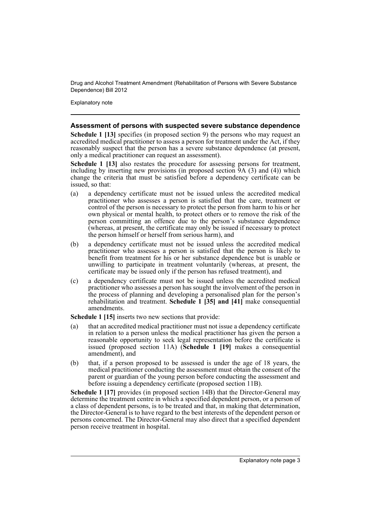Explanatory note

### **Assessment of persons with suspected severe substance dependence**

**Schedule 1 [13]** specifies (in proposed section 9) the persons who may request an accredited medical practitioner to assess a person for treatment under the Act, if they reasonably suspect that the person has a severe substance dependence (at present, only a medical practitioner can request an assessment).

**Schedule 1 [13]** also restates the procedure for assessing persons for treatment, including by inserting new provisions (in proposed section 9A (3) and (4)) which change the criteria that must be satisfied before a dependency certificate can be issued, so that:

- (a) a dependency certificate must not be issued unless the accredited medical practitioner who assesses a person is satisfied that the care, treatment or control of the person is necessary to protect the person from harm to his or her own physical or mental health, to protect others or to remove the risk of the person committing an offence due to the person's substance dependence (whereas, at present, the certificate may only be issued if necessary to protect the person himself or herself from serious harm), and
- (b) a dependency certificate must not be issued unless the accredited medical practitioner who assesses a person is satisfied that the person is likely to benefit from treatment for his or her substance dependence but is unable or unwilling to participate in treatment voluntarily (whereas, at present, the certificate may be issued only if the person has refused treatment), and
- (c) a dependency certificate must not be issued unless the accredited medical practitioner who assesses a person has sought the involvement of the person in the process of planning and developing a personalised plan for the person's rehabilitation and treatment. **Schedule 1 [35] and [41]** make consequential amendments.

**Schedule 1 [15]** inserts two new sections that provide:

- (a) that an accredited medical practitioner must not issue a dependency certificate in relation to a person unless the medical practitioner has given the person a reasonable opportunity to seek legal representation before the certificate is issued (proposed section 11A) (**Schedule 1 [19]** makes a consequential amendment), and
- (b) that, if a person proposed to be assessed is under the age of 18 years, the medical practitioner conducting the assessment must obtain the consent of the parent or guardian of the young person before conducting the assessment and before issuing a dependency certificate (proposed section 11B).

**Schedule 1 [17]** provides (in proposed section 14B) that the Director-General may determine the treatment centre in which a specified dependent person, or a person of a class of dependent persons, is to be treated and that, in making that determination, the Director-General is to have regard to the best interests of the dependent person or persons concerned. The Director-General may also direct that a specified dependent person receive treatment in hospital.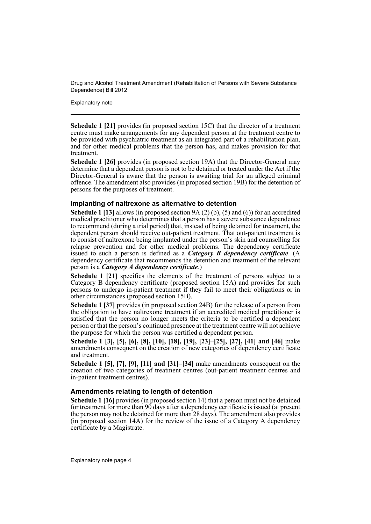Explanatory note

**Schedule 1 [21]** provides (in proposed section 15C) that the director of a treatment centre must make arrangements for any dependent person at the treatment centre to be provided with psychiatric treatment as an integrated part of a rehabilitation plan, and for other medical problems that the person has, and makes provision for that treatment.

**Schedule 1 [26]** provides (in proposed section 19A) that the Director-General may determine that a dependent person is not to be detained or treated under the Act if the Director-General is aware that the person is awaiting trial for an alleged criminal offence. The amendment also provides (in proposed section 19B) for the detention of persons for the purposes of treatment.

### **Implanting of naltrexone as alternative to detention**

**Schedule 1 [13]** allows (in proposed section 9A (2) (b), (5) and (6)) for an accredited medical practitioner who determines that a person has a severe substance dependence to recommend (during a trial period) that, instead of being detained for treatment, the dependent person should receive out-patient treatment. That out-patient treatment is to consist of naltrexone being implanted under the person's skin and counselling for relapse prevention and for other medical problems. The dependency certificate issued to such a person is defined as a *Category B dependency certificate*. (A dependency certificate that recommends the detention and treatment of the relevant person is a *Category A dependency certificate*.)

**Schedule 1 [21]** specifies the elements of the treatment of persons subject to a Category B dependency certificate (proposed section 15A) and provides for such persons to undergo in-patient treatment if they fail to meet their obligations or in other circumstances (proposed section 15B).

**Schedule 1 [37]** provides (in proposed section 24B) for the release of a person from the obligation to have naltrexone treatment if an accredited medical practitioner is satisfied that the person no longer meets the criteria to be certified a dependent person or that the person's continued presence at the treatment centre will not achieve the purpose for which the person was certified a dependent person.

**Schedule 1 [3], [5], [6], [8], [10], [18], [19], [23]–[25], [27], [41] and [46]** make amendments consequent on the creation of new categories of dependency certificate and treatment.

**Schedule 1 [5], [7], [9], [11] and [31]–[34]** make amendments consequent on the creation of two categories of treatment centres (out-patient treatment centres and in-patient treatment centres).

### **Amendments relating to length of detention**

**Schedule 1 [16]** provides (in proposed section 14) that a person must not be detained for treatment for more than 90 days after a dependency certificate is issued (at present the person may not be detained for more than 28 days). The amendment also provides (in proposed section 14A) for the review of the issue of a Category A dependency certificate by a Magistrate.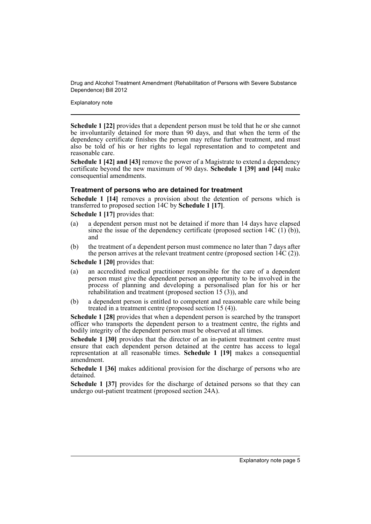Explanatory note

**Schedule 1 [22]** provides that a dependent person must be told that he or she cannot be involuntarily detained for more than 90 days, and that when the term of the dependency certificate finishes the person may refuse further treatment, and must also be told of his or her rights to legal representation and to competent and reasonable care.

**Schedule 1 [42] and [43]** remove the power of a Magistrate to extend a dependency certificate beyond the new maximum of 90 days. **Schedule 1 [39] and [44]** make consequential amendments.

### **Treatment of persons who are detained for treatment**

**Schedule 1 [14]** removes a provision about the detention of persons which is transferred to proposed section 14C by **Schedule 1 [17]**.

**Schedule 1 [17]** provides that:

- (a) a dependent person must not be detained if more than 14 days have elapsed since the issue of the dependency certificate (proposed section  $14C(1)$  (b)), and
- (b) the treatment of a dependent person must commence no later than 7 days after the person arrives at the relevant treatment centre (proposed section  $14C(2)$ ).

**Schedule 1 [20]** provides that:

- (a) an accredited medical practitioner responsible for the care of a dependent person must give the dependent person an opportunity to be involved in the process of planning and developing a personalised plan for his or her rehabilitation and treatment (proposed section 15 (3)), and
- (b) a dependent person is entitled to competent and reasonable care while being treated in a treatment centre (proposed section 15 (4)).

**Schedule 1 [28]** provides that when a dependent person is searched by the transport officer who transports the dependent person to a treatment centre, the rights and bodily integrity of the dependent person must be observed at all times.

**Schedule 1 [30]** provides that the director of an in-patient treatment centre must ensure that each dependent person detained at the centre has access to legal representation at all reasonable times. **Schedule 1 [19]** makes a consequential amendment.

**Schedule 1 [36]** makes additional provision for the discharge of persons who are detained.

**Schedule 1 [37]** provides for the discharge of detained persons so that they can undergo out-patient treatment (proposed section 24A).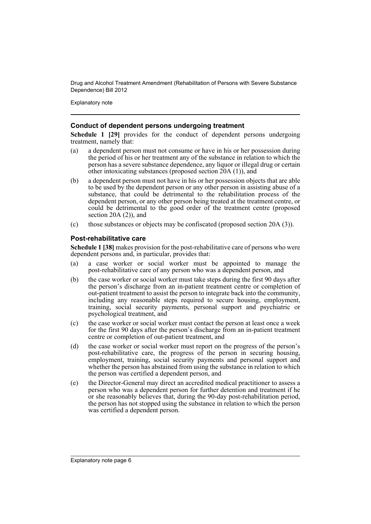Explanatory note

### **Conduct of dependent persons undergoing treatment**

**Schedule 1 [29]** provides for the conduct of dependent persons undergoing treatment, namely that:

- (a) a dependent person must not consume or have in his or her possession during the period of his or her treatment any of the substance in relation to which the person has a severe substance dependence, any liquor or illegal drug or certain other intoxicating substances (proposed section  $20A(1)$ ), and
- (b) a dependent person must not have in his or her possession objects that are able to be used by the dependent person or any other person in assisting abuse of a substance, that could be detrimental to the rehabilitation process of the dependent person, or any other person being treated at the treatment centre, or could be detrimental to the good order of the treatment centre (proposed section 20A (2)), and
- (c) those substances or objects may be confiscated (proposed section 20A (3)).

### **Post-rehabilitative care**

**Schedule 1 [38]** makes provision for the post-rehabilitative care of persons who were dependent persons and, in particular, provides that:

- (a) a case worker or social worker must be appointed to manage the post-rehabilitative care of any person who was a dependent person, and
- (b) the case worker or social worker must take steps during the first 90 days after the person's discharge from an in-patient treatment centre or completion of out-patient treatment to assist the person to integrate back into the community, including any reasonable steps required to secure housing, employment, training, social security payments, personal support and psychiatric or psychological treatment, and
- (c) the case worker or social worker must contact the person at least once a week for the first 90 days after the person's discharge from an in-patient treatment centre or completion of out-patient treatment, and
- (d) the case worker or social worker must report on the progress of the person's post-rehabilitative care, the progress of the person in securing housing, employment, training, social security payments and personal support and whether the person has abstained from using the substance in relation to which the person was certified a dependent person, and
- (e) the Director-General may direct an accredited medical practitioner to assess a person who was a dependent person for further detention and treatment if he or she reasonably believes that, during the 90-day post-rehabilitation period, the person has not stopped using the substance in relation to which the person was certified a dependent person.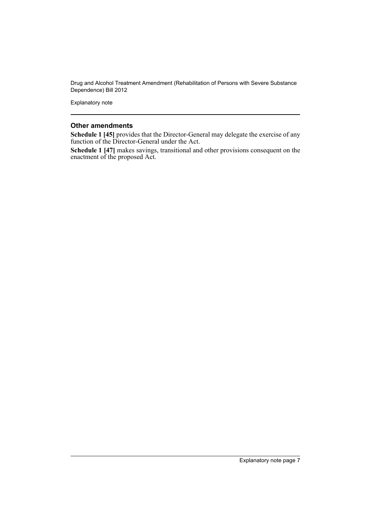Explanatory note

### **Other amendments**

**Schedule 1 [45]** provides that the Director-General may delegate the exercise of any function of the Director-General under the Act.

**Schedule 1 [47]** makes savings, transitional and other provisions consequent on the enactment of the proposed Act.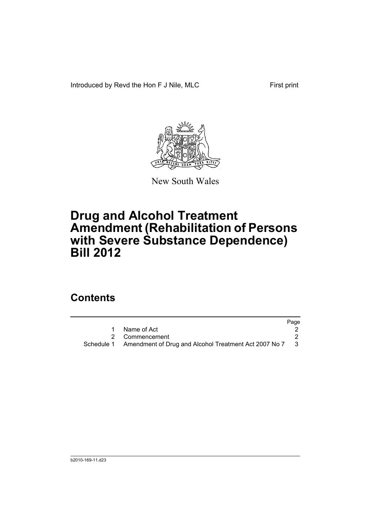Introduced by Revd the Hon F J Nile, MLC First print



New South Wales

# **Drug and Alcohol Treatment Amendment (Rehabilitation of Persons with Severe Substance Dependence) Bill 2012**

## **Contents**

|                                                                    | Page |
|--------------------------------------------------------------------|------|
| Name of Act                                                        |      |
| 2 Commencement                                                     |      |
| Schedule 1 Amendment of Drug and Alcohol Treatment Act 2007 No 7 3 |      |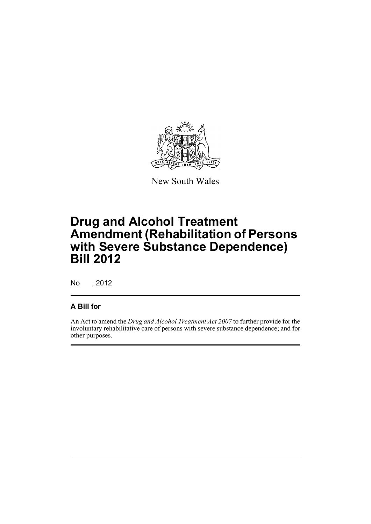

New South Wales

# **Drug and Alcohol Treatment Amendment (Rehabilitation of Persons with Severe Substance Dependence) Bill 2012**

No , 2012

### **A Bill for**

An Act to amend the *Drug and Alcohol Treatment Act 2007* to further provide for the involuntary rehabilitative care of persons with severe substance dependence; and for other purposes.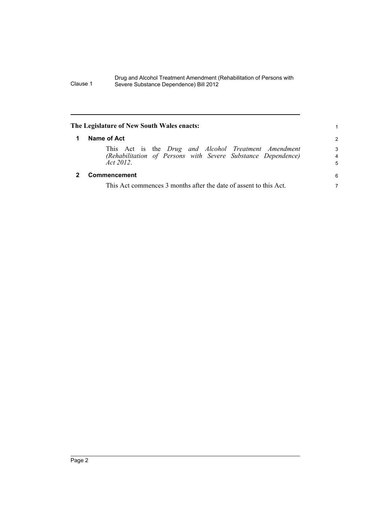<span id="page-11-1"></span><span id="page-11-0"></span>

| The Legislature of New South Wales enacts:                                                                                           |               |  |
|--------------------------------------------------------------------------------------------------------------------------------------|---------------|--|
| Name of Act                                                                                                                          | $\mathcal{P}$ |  |
| This Act is the Drug and Alcohol Treatment Amendment<br>(Rehabilitation of Persons with Severe Substance Dependence)<br>Act $2012$ . | 3<br>4<br>5   |  |
| Commencement                                                                                                                         | 6             |  |
| This Act commences 3 months after the date of assent to this Act.                                                                    | 7             |  |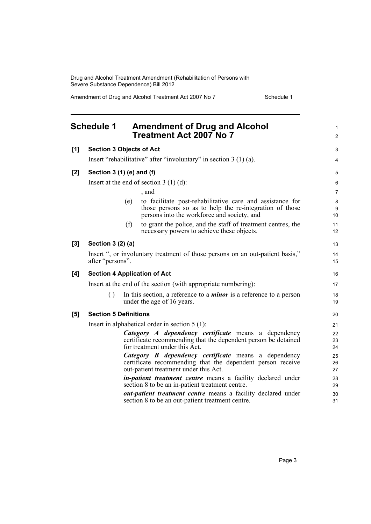<span id="page-12-0"></span>

|       | <b>Schedule 1</b>                                              |                                                  | <b>Amendment of Drug and Alcohol</b><br><b>Treatment Act 2007 No 7</b>                                                                                              | $\mathbf{1}$<br>$\overline{2}$ |  |  |
|-------|----------------------------------------------------------------|--------------------------------------------------|---------------------------------------------------------------------------------------------------------------------------------------------------------------------|--------------------------------|--|--|
| [1]   | <b>Section 3 Objects of Act</b>                                |                                                  |                                                                                                                                                                     | 3                              |  |  |
|       |                                                                |                                                  | Insert "rehabilitative" after "involuntary" in section $3(1)(a)$ .                                                                                                  | 4                              |  |  |
| $[2]$ | Section 3 (1) (e) and (f)                                      |                                                  |                                                                                                                                                                     | 5                              |  |  |
|       | Insert at the end of section $3(1)(d)$ :                       |                                                  |                                                                                                                                                                     |                                |  |  |
|       |                                                                |                                                  | , and                                                                                                                                                               | $\overline{7}$                 |  |  |
|       |                                                                | (e)                                              | to facilitate post-rehabilitative care and assistance for<br>those persons so as to help the re-integration of those<br>persons into the workforce and society, and | 8<br>9<br>10                   |  |  |
|       |                                                                | (f)                                              | to grant the police, and the staff of treatment centres, the<br>necessary powers to achieve these objects.                                                          | 11<br>12                       |  |  |
| [3]   | Section 3 (2) (a)                                              |                                                  |                                                                                                                                                                     | 13                             |  |  |
|       | after "persons".                                               |                                                  | Insert ", or involuntary treatment of those persons on an out-patient basis,"                                                                                       | 14<br>15                       |  |  |
| [4]   |                                                                |                                                  | <b>Section 4 Application of Act</b>                                                                                                                                 | 16                             |  |  |
|       | Insert at the end of the section (with appropriate numbering): |                                                  |                                                                                                                                                                     |                                |  |  |
|       | $\left( \right)$                                               |                                                  | In this section, a reference to a <i>minor</i> is a reference to a person<br>under the age of 16 years.                                                             | 18<br>19                       |  |  |
| [5]   | <b>Section 5 Definitions</b>                                   |                                                  |                                                                                                                                                                     | 20                             |  |  |
|       |                                                                | Insert in alphabetical order in section $5(1)$ : |                                                                                                                                                                     |                                |  |  |
|       |                                                                |                                                  | Category A dependency certificate means a dependency<br>certificate recommending that the dependent person be detained<br>for treatment under this Act.             | 22<br>23<br>24                 |  |  |
|       |                                                                |                                                  | Category B dependency certificate means a dependency<br>certificate recommending that the dependent person receive<br>out-patient treatment under this Act.         | 25<br>26<br>27                 |  |  |
|       |                                                                |                                                  | <i>in-patient treatment centre</i> means a facility declared under<br>section 8 to be an in-patient treatment centre.                                               | 28<br>29                       |  |  |
|       |                                                                |                                                  | <i>out-patient treatment centre</i> means a facility declared under<br>section 8 to be an out-patient treatment centre.                                             | 30<br>31                       |  |  |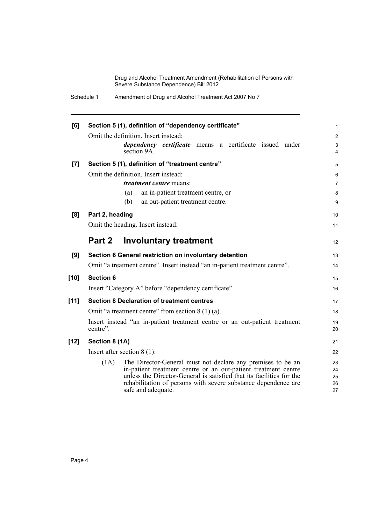| [6]    | Section 5 (1), definition of "dependency certificate"                                                                                                                                                                                                                                                 | $\mathbf{1}$               |
|--------|-------------------------------------------------------------------------------------------------------------------------------------------------------------------------------------------------------------------------------------------------------------------------------------------------------|----------------------------|
|        | Omit the definition. Insert instead:                                                                                                                                                                                                                                                                  | 2                          |
|        | <i>dependency certificate</i> means a certificate issued under                                                                                                                                                                                                                                        | 3                          |
|        | section 9A                                                                                                                                                                                                                                                                                            | 4                          |
| [7]    | Section 5 (1), definition of "treatment centre"                                                                                                                                                                                                                                                       | 5                          |
|        | Omit the definition. Insert instead:                                                                                                                                                                                                                                                                  | 6                          |
|        | <i>treatment centre</i> means:                                                                                                                                                                                                                                                                        | $\overline{7}$             |
|        | an in-patient treatment centre, or<br>(a)                                                                                                                                                                                                                                                             | 8                          |
|        | (b)<br>an out-patient treatment centre.                                                                                                                                                                                                                                                               | 9                          |
| [8]    | Part 2, heading                                                                                                                                                                                                                                                                                       | 10                         |
|        | Omit the heading. Insert instead:                                                                                                                                                                                                                                                                     | 11                         |
|        |                                                                                                                                                                                                                                                                                                       |                            |
|        | Part 2<br><b>Involuntary treatment</b>                                                                                                                                                                                                                                                                | 12                         |
| [9]    | Section 6 General restriction on involuntary detention                                                                                                                                                                                                                                                | 13                         |
|        | Omit "a treatment centre". Insert instead "an in-patient treatment centre".                                                                                                                                                                                                                           | 14                         |
| $[10]$ | <b>Section 6</b>                                                                                                                                                                                                                                                                                      | 15                         |
|        | Insert "Category A" before "dependency certificate".                                                                                                                                                                                                                                                  | 16                         |
|        |                                                                                                                                                                                                                                                                                                       |                            |
| [11]   | <b>Section 8 Declaration of treatment centres</b>                                                                                                                                                                                                                                                     | 17                         |
|        | Omit "a treatment centre" from section $8(1)(a)$ .                                                                                                                                                                                                                                                    | 18                         |
|        | Insert instead "an in-patient treatment centre or an out-patient treatment<br>centre".                                                                                                                                                                                                                | 19<br>20                   |
| $[12]$ | Section 8 (1A)                                                                                                                                                                                                                                                                                        | 21                         |
|        | Insert after section $8(1)$ :                                                                                                                                                                                                                                                                         | 22                         |
|        | (1A)<br>The Director-General must not declare any premises to be an<br>in-patient treatment centre or an out-patient treatment centre<br>unless the Director-General is satisfied that its facilities for the<br>rehabilitation of persons with severe substance dependence are<br>safe and adequate. | 23<br>24<br>25<br>26<br>27 |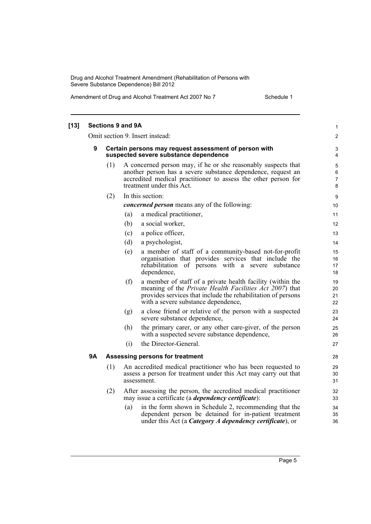| [13] |    |     | <b>Sections 9 and 9A</b> |                                                                                                                                                                                                                                      | 1                          |
|------|----|-----|--------------------------|--------------------------------------------------------------------------------------------------------------------------------------------------------------------------------------------------------------------------------------|----------------------------|
|      |    |     |                          | Omit section 9. Insert instead:                                                                                                                                                                                                      | $\overline{2}$             |
|      | 9  |     |                          | Certain persons may request assessment of person with<br>suspected severe substance dependence                                                                                                                                       | 3<br>4                     |
|      |    | (1) |                          | A concerned person may, if he or she reasonably suspects that<br>another person has a severe substance dependence, request an<br>accredited medical practitioner to assess the other person for<br>treatment under this Act.         | $\mathbf 5$<br>6<br>7<br>8 |
|      |    | (2) |                          | In this section:                                                                                                                                                                                                                     | 9                          |
|      |    |     |                          | <i>concerned person</i> means any of the following:                                                                                                                                                                                  | 10                         |
|      |    |     | (a)                      | a medical practitioner,                                                                                                                                                                                                              | 11                         |
|      |    |     | (b)                      | a social worker,                                                                                                                                                                                                                     | 12                         |
|      |    |     | (c)                      | a police officer,                                                                                                                                                                                                                    | 13                         |
|      |    |     | (d)                      | a psychologist,                                                                                                                                                                                                                      | 14                         |
|      |    |     | (e)                      | a member of staff of a community-based not-for-profit<br>organisation that provides services that include the<br>rehabilitation of persons with a severe substance<br>dependence,                                                    | 15<br>16<br>17<br>18       |
|      |    |     | (f)                      | a member of staff of a private health facility (within the<br>meaning of the <i>Private Health Facilities Act 2007</i> ) that<br>provides services that include the rehabilitation of persons<br>with a severe substance dependence, | 19<br>20<br>21<br>22       |
|      |    |     | (g)                      | a close friend or relative of the person with a suspected<br>severe substance dependence,                                                                                                                                            | 23<br>24                   |
|      |    |     | (h)                      | the primary carer, or any other care-giver, of the person<br>with a suspected severe substance dependence,                                                                                                                           | 25<br>26                   |
|      |    |     | (i)                      | the Director-General.                                                                                                                                                                                                                | 27                         |
|      | 9Α |     |                          | Assessing persons for treatment                                                                                                                                                                                                      | 28                         |
|      |    | (1) |                          | An accredited medical practitioner who has been requested to<br>assess a person for treatment under this Act may carry out that<br>assessment.                                                                                       | 29<br>30<br>31             |
|      |    | (2) |                          | After assessing the person, the accredited medical practitioner<br>may issue a certificate (a <i>dependency certificate</i> ):                                                                                                       | 32<br>33                   |
|      |    |     | (a)                      | in the form shown in Schedule 2, recommending that the<br>dependent person be detained for in-patient treatment<br>under this Act (a Category A dependency certificate), or                                                          | 34<br>35<br>36             |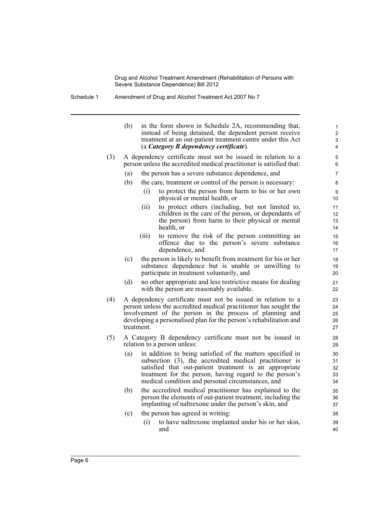Schedule 1 Amendment of Drug and Alcohol Treatment Act 2007 No 7

|     | (b)                                                                                                                                                                                              | in the form shown in Schedule 2A, recommending that,<br>instead of being detained, the dependent person receive<br>treatment at an out-patient treatment centre under this Act<br>(a Category B dependency certificate).                                                                       | 1<br>$\overline{2}$<br>3<br>4 |  |  |  |  |
|-----|--------------------------------------------------------------------------------------------------------------------------------------------------------------------------------------------------|------------------------------------------------------------------------------------------------------------------------------------------------------------------------------------------------------------------------------------------------------------------------------------------------|-------------------------------|--|--|--|--|
| (3) | A dependency certificate must not be issued in relation to a<br>person unless the accredited medical practitioner is satisfied that:<br>the person has a severe substance dependence, and<br>(a) |                                                                                                                                                                                                                                                                                                |                               |  |  |  |  |
|     | (b)                                                                                                                                                                                              | the care, treatment or control of the person is necessary:                                                                                                                                                                                                                                     | 7<br>8                        |  |  |  |  |
|     |                                                                                                                                                                                                  | to protect the person from harm to his or her own<br>(i)<br>physical or mental health, or                                                                                                                                                                                                      | 9<br>10                       |  |  |  |  |
|     |                                                                                                                                                                                                  | to protect others (including, but not limited to,<br>(ii)<br>children in the care of the person, or dependants of<br>the person) from harm to their physical or mental<br>health, or                                                                                                           | 11<br>12<br>13<br>14          |  |  |  |  |
|     |                                                                                                                                                                                                  | to remove the risk of the person committing an<br>(iii)<br>offence due to the person's severe substance<br>dependence, and                                                                                                                                                                     | 15<br>16<br>17                |  |  |  |  |
|     | (c)                                                                                                                                                                                              | the person is likely to benefit from treatment for his or her<br>substance dependence but is unable or unwilling to<br>participate in treatment voluntarily, and                                                                                                                               | 18<br>19<br>20                |  |  |  |  |
|     | (d)                                                                                                                                                                                              | no other appropriate and less restrictive means for dealing<br>with the person are reasonably available.                                                                                                                                                                                       | 21<br>22                      |  |  |  |  |
| (4) |                                                                                                                                                                                                  | A dependency certificate must not be issued in relation to a<br>person unless the accredited medical practitioner has sought the<br>involvement of the person in the process of planning and<br>developing a personalised plan for the person's rehabilitation and<br>treatment.               | 23<br>24<br>25<br>26<br>27    |  |  |  |  |
| (5) |                                                                                                                                                                                                  | A Category B dependency certificate must not be issued in<br>relation to a person unless:                                                                                                                                                                                                      | 28<br>29                      |  |  |  |  |
|     | (a)                                                                                                                                                                                              | in addition to being satisfied of the matters specified in<br>subsection (3), the accredited medical practitioner is<br>satisfied that out-patient treatment is an appropriate<br>treatment for the person, having regard to the person's<br>medical condition and personal circumstances, and | 30<br>31<br>32<br>33<br>34    |  |  |  |  |
|     | (b)                                                                                                                                                                                              | the accredited medical practitioner has explained to the<br>person the elements of out-patient treatment, including the<br>implanting of naltrexone under the person's skin, and                                                                                                               | 35<br>36<br>37                |  |  |  |  |
|     | (c)                                                                                                                                                                                              | the person has agreed in writing:                                                                                                                                                                                                                                                              | 38                            |  |  |  |  |
|     |                                                                                                                                                                                                  | (i)<br>to have naltrexone implanted under his or her skin,<br>and                                                                                                                                                                                                                              | 39<br>40                      |  |  |  |  |
|     |                                                                                                                                                                                                  |                                                                                                                                                                                                                                                                                                |                               |  |  |  |  |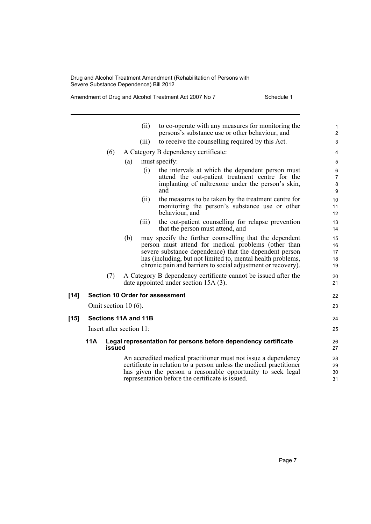|        |     |                          |     | (ii)  | to co-operate with any measures for monitoring the<br>persons's substance use or other behaviour, and                                                                                                                                                                                                  | 1<br>$\overline{2}$           |
|--------|-----|--------------------------|-----|-------|--------------------------------------------------------------------------------------------------------------------------------------------------------------------------------------------------------------------------------------------------------------------------------------------------------|-------------------------------|
|        |     |                          |     | (iii) | to receive the counselling required by this Act.                                                                                                                                                                                                                                                       | 3                             |
|        |     | (6)                      |     |       | A Category B dependency certificate:                                                                                                                                                                                                                                                                   | 4                             |
|        |     |                          | (a) |       | must specify:                                                                                                                                                                                                                                                                                          | 5                             |
|        |     |                          |     | (i)   | the intervals at which the dependent person must<br>attend the out-patient treatment centre for the<br>implanting of naltrexone under the person's skin,<br>and                                                                                                                                        | 6<br>$\overline{7}$<br>8<br>9 |
|        |     |                          |     | (ii)  | the measures to be taken by the treatment centre for<br>monitoring the person's substance use or other<br>behaviour, and                                                                                                                                                                               | 10<br>11<br>12                |
|        |     |                          |     | (iii) | the out-patient counselling for relapse prevention<br>that the person must attend, and                                                                                                                                                                                                                 | 13<br>14                      |
|        |     |                          | (b) |       | may specify the further counselling that the dependent<br>person must attend for medical problems (other than<br>severe substance dependence) that the dependent person<br>has (including, but not limited to, mental health problems,<br>chronic pain and barriers to social adjustment or recovery). | 15<br>16<br>17<br>18<br>19    |
|        |     | (7)                      |     |       | A Category B dependency certificate cannot be issued after the<br>date appointed under section 15A (3).                                                                                                                                                                                                | 20<br>21                      |
| [14]   |     |                          |     |       | <b>Section 10 Order for assessment</b>                                                                                                                                                                                                                                                                 | 22                            |
|        |     | Omit section $10(6)$ .   |     |       |                                                                                                                                                                                                                                                                                                        | 23                            |
| $[15]$ |     | Sections 11A and 11B     |     |       |                                                                                                                                                                                                                                                                                                        | 24                            |
|        |     | Insert after section 11: |     |       |                                                                                                                                                                                                                                                                                                        | 25                            |
|        | 11A |                          |     |       | Legal representation for persons before dependency certificate                                                                                                                                                                                                                                         | 26                            |
|        |     | issued                   |     |       |                                                                                                                                                                                                                                                                                                        | 27                            |
|        |     |                          |     |       | An accredited medical practitioner must not issue a dependency<br>certificate in relation to a person unless the medical practitioner<br>has given the person a reasonable opportunity to seek legal<br>representation before the certificate is issued.                                               | 28<br>29<br>30<br>31          |
|        |     |                          |     |       |                                                                                                                                                                                                                                                                                                        |                               |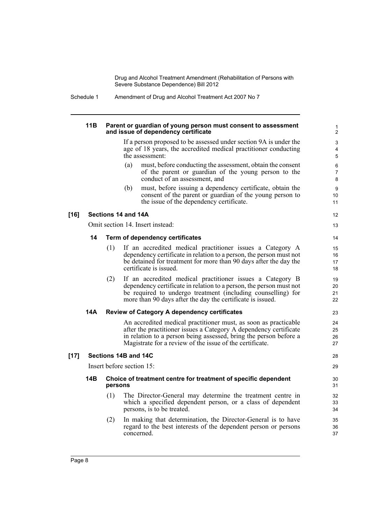Schedule 1 Amendment of Drug and Alcohol Treatment Act 2007 No 7

| 11B | Parent or guardian of young person must consent to assessment |
|-----|---------------------------------------------------------------|
|     | and issue of dependency certificate                           |

If a person proposed to be assessed under section 9A is under the age of 18 years, the accredited medical practitioner conducting the assessment:

- (a) must, before conducting the assessment, obtain the consent of the parent or guardian of the young person to the conduct of an assessment, and
- (b) must, before issuing a dependency certificate, obtain the consent of the parent or guardian of the young person to the issue of the dependency certificate.

### **[16] Sections 14 and 14A**

Omit section 14. Insert instead:

### **14 Term of dependency certificates**

- (1) If an accredited medical practitioner issues a Category A dependency certificate in relation to a person, the person must not be detained for treatment for more than 90 days after the day the certificate is issued.
- (2) If an accredited medical practitioner issues a Category B dependency certificate in relation to a person, the person must not be required to undergo treatment (including counselling) for more than 90 days after the day the certificate is issued.

#### **14A Review of Category A dependency certificates**

An accredited medical practitioner must, as soon as practicable after the practitioner issues a Category A dependency certificate in relation to a person being assessed, bring the person before a Magistrate for a review of the issue of the certificate.

### **[17] Sections 14B and 14C**

Insert before section 15:

### **14B Choice of treatment centre for treatment of specific dependent persons**

- (1) The Director-General may determine the treatment centre in which a specified dependent person, or a class of dependent persons, is to be treated.
- (2) In making that determination, the Director-General is to have regard to the best interests of the dependent person or persons concerned.

12

13 14

23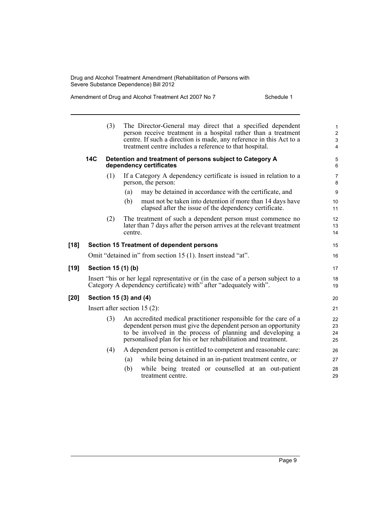|        |     | (3) | The Director-General may direct that a specified dependent<br>person receive treatment in a hospital rather than a treatment<br>centre. If such a direction is made, any reference in this Act to a<br>treatment centre includes a reference to that hospital.     | $\mathbf{1}$<br>$\boldsymbol{2}$<br>$\ensuremath{\mathsf{3}}$<br>$\overline{4}$ |
|--------|-----|-----|--------------------------------------------------------------------------------------------------------------------------------------------------------------------------------------------------------------------------------------------------------------------|---------------------------------------------------------------------------------|
|        | 14C |     | Detention and treatment of persons subject to Category A<br>dependency certificates                                                                                                                                                                                | $\sqrt{5}$<br>6                                                                 |
|        |     | (1) | If a Category A dependency certificate is issued in relation to a<br>person, the person:                                                                                                                                                                           | $\overline{7}$<br>8                                                             |
|        |     |     | may be detained in accordance with the certificate, and<br>(a)                                                                                                                                                                                                     | 9                                                                               |
|        |     |     | must not be taken into detention if more than 14 days have<br>(b)<br>elapsed after the issue of the dependency certificate.                                                                                                                                        | 10<br>11                                                                        |
|        |     | (2) | The treatment of such a dependent person must commence no<br>later than 7 days after the person arrives at the relevant treatment<br>centre.                                                                                                                       | 12<br>13<br>14                                                                  |
| $[18]$ |     |     | Section 15 Treatment of dependent persons                                                                                                                                                                                                                          | 15                                                                              |
|        |     |     | Omit "detained in" from section 15 (1). Insert instead "at".                                                                                                                                                                                                       | 16                                                                              |
| $[19]$ |     |     | Section 15 (1) (b)                                                                                                                                                                                                                                                 | 17                                                                              |
|        |     |     | Insert "his or her legal representative or (in the case of a person subject to a<br>Category A dependency certificate) with" after "adequately with".                                                                                                              | 18<br>19                                                                        |
| [20]   |     |     | Section 15 (3) and (4)                                                                                                                                                                                                                                             | 20                                                                              |
|        |     |     | Insert after section $15(2)$ :                                                                                                                                                                                                                                     | 21                                                                              |
|        |     | (3) | An accredited medical practitioner responsible for the care of a<br>dependent person must give the dependent person an opportunity<br>to be involved in the process of planning and developing a<br>personalised plan for his or her rehabilitation and treatment. | 22<br>23<br>24<br>25                                                            |
|        |     | (4) | A dependent person is entitled to competent and reasonable care:                                                                                                                                                                                                   | 26                                                                              |
|        |     |     | while being detained in an in-patient treatment centre, or<br>(a)                                                                                                                                                                                                  | 27                                                                              |
|        |     |     | (b)<br>while being treated or counselled at an out-patient<br>treatment centre.                                                                                                                                                                                    | 28<br>29                                                                        |
|        |     |     |                                                                                                                                                                                                                                                                    |                                                                                 |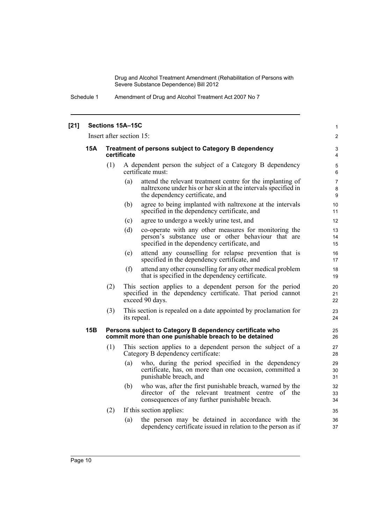| $[21]$ |                          |                                                                      | Sections 15A-15C                                                                                                                                                       | 1                        |  |  |
|--------|--------------------------|----------------------------------------------------------------------|------------------------------------------------------------------------------------------------------------------------------------------------------------------------|--------------------------|--|--|
|        | Insert after section 15: |                                                                      |                                                                                                                                                                        |                          |  |  |
|        | 15A                      | Treatment of persons subject to Category B dependency<br>certificate |                                                                                                                                                                        |                          |  |  |
|        |                          | (1)                                                                  | A dependent person the subject of a Category B dependency<br>certificate must:                                                                                         | 5<br>6                   |  |  |
|        |                          |                                                                      | (a)<br>attend the relevant treatment centre for the implanting of<br>naltrexone under his or her skin at the intervals specified in<br>the dependency certificate, and | $\overline{7}$<br>8<br>9 |  |  |
|        |                          |                                                                      | agree to being implanted with naltrexone at the intervals<br>(b)<br>specified in the dependency certificate, and                                                       | 10<br>11                 |  |  |
|        |                          |                                                                      | agree to undergo a weekly urine test, and<br>(c)                                                                                                                       | 12                       |  |  |
|        |                          |                                                                      | (d)<br>co-operate with any other measures for monitoring the<br>person's substance use or other behaviour that are<br>specified in the dependency certificate, and     | 13<br>14<br>15           |  |  |
|        |                          |                                                                      | attend any counselling for relapse prevention that is<br>(e)<br>specified in the dependency certificate, and                                                           | 16<br>17                 |  |  |
|        |                          |                                                                      | attend any other counselling for any other medical problem<br>(f)<br>that is specified in the dependency certificate.                                                  | 18<br>19                 |  |  |
|        |                          | (2)                                                                  | This section applies to a dependent person for the period<br>specified in the dependency certificate. That period cannot<br>exceed 90 days.                            | 20<br>21<br>22           |  |  |
|        |                          | (3)                                                                  | This section is repealed on a date appointed by proclamation for<br>its repeal.                                                                                        | 23<br>24                 |  |  |
|        | 15B                      |                                                                      | Persons subject to Category B dependency certificate who<br>commit more than one punishable breach to be detained                                                      | 25<br>26                 |  |  |
|        |                          | (1)                                                                  | This section applies to a dependent person the subject of a<br>Category B dependency certificate:                                                                      | 27<br>28                 |  |  |
|        |                          |                                                                      | who, during the period specified in the dependency<br>(a)<br>certificate, has, on more than one occasion, committed a<br>punishable breach, and                        | 29<br>30<br>31           |  |  |
|        |                          |                                                                      | who was, after the first punishable breach, warned by the<br>(b)<br>director of the relevant treatment centre of the<br>consequences of any further punishable breach. | 32<br>33<br>34           |  |  |
|        |                          | (2)                                                                  | If this section applies:                                                                                                                                               | 35                       |  |  |
|        |                          |                                                                      | the person may be detained in accordance with the<br>(a)<br>dependency certificate issued in relation to the person as if                                              | 36<br>37                 |  |  |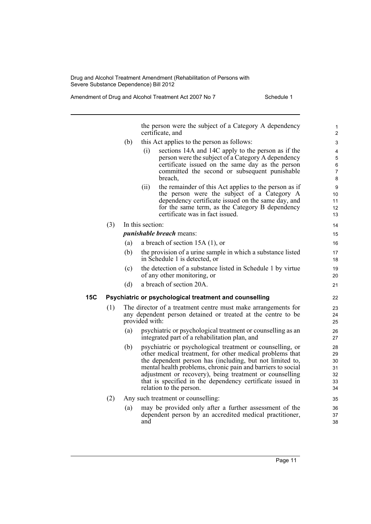|     |     |     | the person were the subject of a Category A dependency<br>certificate, and                                                                                                                                                                                                                                                                                                                          | 1<br>$\overline{c}$                    |
|-----|-----|-----|-----------------------------------------------------------------------------------------------------------------------------------------------------------------------------------------------------------------------------------------------------------------------------------------------------------------------------------------------------------------------------------------------------|----------------------------------------|
|     |     | (b) | this Act applies to the person as follows:                                                                                                                                                                                                                                                                                                                                                          | 3                                      |
|     |     |     | sections 14A and 14C apply to the person as if the<br>(i)<br>person were the subject of a Category A dependency<br>certificate issued on the same day as the person<br>committed the second or subsequent punishable<br>breach,                                                                                                                                                                     | 4<br>5<br>6<br>$\overline{7}$<br>8     |
|     |     |     | the remainder of this Act applies to the person as if<br>(ii)<br>the person were the subject of a Category A<br>dependency certificate issued on the same day, and<br>for the same term, as the Category B dependency<br>certificate was in fact issued.                                                                                                                                            | 9<br>10<br>11<br>12<br>13              |
|     | (3) |     | In this section:                                                                                                                                                                                                                                                                                                                                                                                    | 14                                     |
|     |     |     | <i>punishable breach</i> means:                                                                                                                                                                                                                                                                                                                                                                     | 15                                     |
|     |     | (a) | a breach of section $15A(1)$ , or                                                                                                                                                                                                                                                                                                                                                                   | 16                                     |
|     |     | (b) | the provision of a urine sample in which a substance listed<br>in Schedule 1 is detected, or                                                                                                                                                                                                                                                                                                        | 17<br>18                               |
|     |     | (c) | the detection of a substance listed in Schedule 1 by virtue<br>of any other monitoring, or                                                                                                                                                                                                                                                                                                          | 19<br>20                               |
|     |     | (d) | a breach of section 20A.                                                                                                                                                                                                                                                                                                                                                                            | 21                                     |
| 15C |     |     | Psychiatric or psychological treatment and counselling                                                                                                                                                                                                                                                                                                                                              | 22                                     |
|     | (1) |     | The director of a treatment centre must make arrangements for<br>any dependent person detained or treated at the centre to be<br>provided with:                                                                                                                                                                                                                                                     | 23<br>24<br>25                         |
|     |     | (a) | psychiatric or psychological treatment or counselling as an<br>integrated part of a rehabilitation plan, and                                                                                                                                                                                                                                                                                        | 26<br>27                               |
|     |     | (b) | psychiatric or psychological treatment or counselling, or<br>other medical treatment, for other medical problems that<br>the dependent person has (including, but not limited to,<br>mental health problems, chronic pain and barriers to social<br>adjustment or recovery), being treatment or counselling<br>that is specified in the dependency certificate issued in<br>relation to the person. | 28<br>29<br>30<br>31<br>32<br>33<br>34 |
|     | (2) |     | Any such treatment or counselling:                                                                                                                                                                                                                                                                                                                                                                  | 35                                     |
|     |     | (a) | may be provided only after a further assessment of the<br>dependent person by an accredited medical practitioner,<br>and                                                                                                                                                                                                                                                                            | 36<br>37<br>38                         |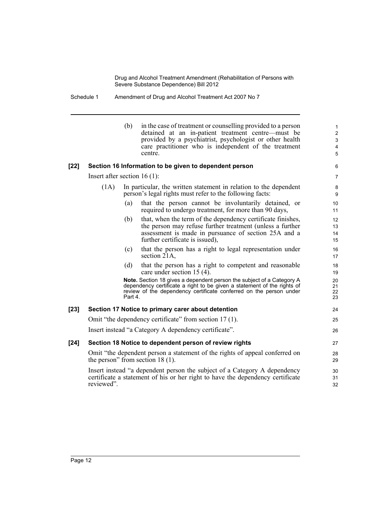### Schedule 1 Amendment of Drug and Alcohol Treatment Act 2007 No 7

|        |                                | (b)     | in the case of treatment or counselling provided to a person<br>detained at an in-patient treatment centre—must be<br>provided by a psychiatrist, psychologist or other health<br>care practitioner who is independent of the treatment<br>centre. | $\mathbf{1}$<br>$\overline{c}$<br>3<br>4<br>$\sqrt{5}$ |
|--------|--------------------------------|---------|----------------------------------------------------------------------------------------------------------------------------------------------------------------------------------------------------------------------------------------------------|--------------------------------------------------------|
| $[22]$ |                                |         | Section 16 Information to be given to dependent person                                                                                                                                                                                             | 6                                                      |
|        | Insert after section $16(1)$ : |         |                                                                                                                                                                                                                                                    | $\overline{7}$                                         |
|        | (1A)                           |         | In particular, the written statement in relation to the dependent<br>person's legal rights must refer to the following facts:                                                                                                                      | 8<br>9                                                 |
|        |                                | (a)     | that the person cannot be involuntarily detained, or<br>required to undergo treatment, for more than 90 days,                                                                                                                                      | 10<br>11                                               |
|        |                                | (b)     | that, when the term of the dependency certificate finishes,<br>the person may refuse further treatment (unless a further<br>assessment is made in pursuance of section 25A and a<br>further certificate is issued),                                | 12<br>13<br>14<br>15                                   |
|        |                                | (c)     | that the person has a right to legal representation under<br>section 21A,                                                                                                                                                                          | 16<br>17                                               |
|        |                                | (d)     | that the person has a right to competent and reasonable<br>care under section 15 (4).                                                                                                                                                              | 18<br>19                                               |
|        |                                | Part 4. | Note. Section 18 gives a dependent person the subject of a Category A<br>dependency certificate a right to be given a statement of the rights of<br>review of the dependency certificate conferred on the person under                             | 20<br>21<br>22<br>23                                   |
| $[23]$ |                                |         | Section 17 Notice to primary carer about detention                                                                                                                                                                                                 | 24                                                     |
|        |                                |         | Omit "the dependency certificate" from section 17 (1).                                                                                                                                                                                             | 25                                                     |
|        |                                |         | Insert instead "a Category A dependency certificate".                                                                                                                                                                                              | 26                                                     |
| $[24]$ |                                |         | Section 18 Notice to dependent person of review rights                                                                                                                                                                                             | 27                                                     |
|        |                                |         | Omit "the dependent person a statement of the rights of appeal conferred on<br>the person" from section $18(1)$ .                                                                                                                                  | 28<br>29                                               |
|        | reviewed".                     |         | Insert instead "a dependent person the subject of a Category A dependency<br>certificate a statement of his or her right to have the dependency certificate                                                                                        | 30<br>31<br>32                                         |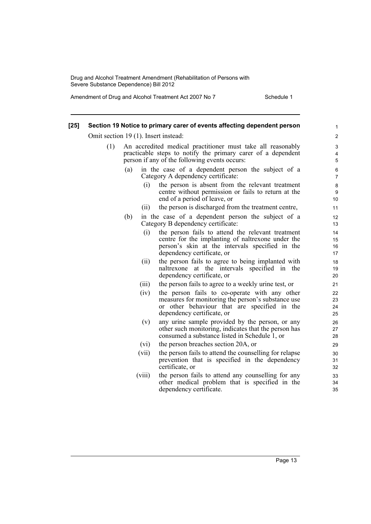| $[25]$ |     |                                      | Section 19 Notice to primary carer of events affecting dependent person                                                                                                                 | $\mathbf{1}$         |
|--------|-----|--------------------------------------|-----------------------------------------------------------------------------------------------------------------------------------------------------------------------------------------|----------------------|
|        |     | Omit section 19 (1). Insert instead: |                                                                                                                                                                                         | $\overline{2}$       |
|        | (1) |                                      | An accredited medical practitioner must take all reasonably<br>practicable steps to notify the primary carer of a dependent<br>person if any of the following events occurs:            | 3<br>4<br>5          |
|        |     | (a)                                  | in the case of a dependent person the subject of a<br>Category A dependency certificate:                                                                                                | 6<br>$\overline{7}$  |
|        |     | (i)                                  | the person is absent from the relevant treatment<br>centre without permission or fails to return at the<br>end of a period of leave, or                                                 | $\bf 8$<br>9<br>10   |
|        |     | (i)                                  | the person is discharged from the treatment centre,                                                                                                                                     | 11                   |
|        |     | (b)                                  | in the case of a dependent person the subject of a<br>Category B dependency certificate:                                                                                                | 12<br>13             |
|        |     | (i)                                  | the person fails to attend the relevant treatment<br>centre for the implanting of naltrexone under the<br>person's skin at the intervals specified in the<br>dependency certificate, or | 14<br>15<br>16<br>17 |
|        |     | (ii)                                 | the person fails to agree to being implanted with<br>naltrexone at the intervals specified in the<br>dependency certificate, or                                                         | 18<br>19<br>20       |
|        |     | (iii)                                | the person fails to agree to a weekly urine test, or                                                                                                                                    | 21                   |
|        |     | (iv)                                 | the person fails to co-operate with any other<br>measures for monitoring the person's substance use<br>or other behaviour that are specified in the<br>dependency certificate, or       | 22<br>23<br>24<br>25 |
|        |     | (v)                                  | any urine sample provided by the person, or any<br>other such monitoring, indicates that the person has<br>consumed a substance listed in Schedule 1, or                                | 26<br>27<br>28       |
|        |     | (vi)                                 | the person breaches section 20A, or                                                                                                                                                     | 29                   |
|        |     | (vii)                                | the person fails to attend the counselling for relapse<br>prevention that is specified in the dependency<br>certificate, or                                                             | 30<br>31<br>32       |
|        |     | (viii)                               | the person fails to attend any counselling for any<br>other medical problem that is specified in the<br>dependency certificate.                                                         | 33<br>34<br>35       |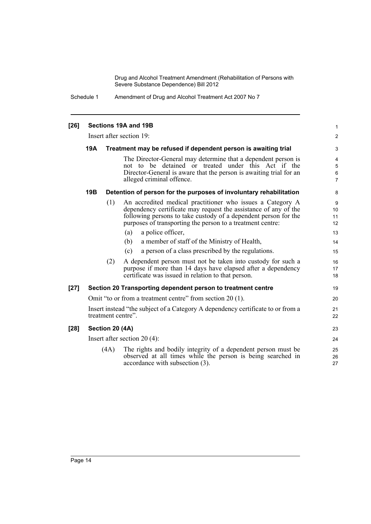Schedule 1 Amendment of Drug and Alcohol Treatment Act 2007 No 7

| [26]   | Sections 19A and 19B<br>Insert after section 19: |                 |                                                                                                                                                                                                                                                                                                                                                                                                                                                                                                                                                                                                      |                                                         |  |  |
|--------|--------------------------------------------------|-----------------|------------------------------------------------------------------------------------------------------------------------------------------------------------------------------------------------------------------------------------------------------------------------------------------------------------------------------------------------------------------------------------------------------------------------------------------------------------------------------------------------------------------------------------------------------------------------------------------------------|---------------------------------------------------------|--|--|
|        |                                                  |                 |                                                                                                                                                                                                                                                                                                                                                                                                                                                                                                                                                                                                      |                                                         |  |  |
|        | 19A                                              |                 | Treatment may be refused if dependent person is awaiting trial                                                                                                                                                                                                                                                                                                                                                                                                                                                                                                                                       | 3                                                       |  |  |
|        |                                                  |                 | The Director-General may determine that a dependent person is<br>not to be detained or treated under this Act if the<br>Director-General is aware that the person is awaiting trial for an<br>alleged criminal offence.                                                                                                                                                                                                                                                                                                                                                                              | 4<br>5<br>6<br>7                                        |  |  |
|        | 19B                                              |                 | Detention of person for the purposes of involuntary rehabilitation                                                                                                                                                                                                                                                                                                                                                                                                                                                                                                                                   | 8                                                       |  |  |
|        |                                                  | (1)<br>(2)      | An accredited medical practitioner who issues a Category A<br>dependency certificate may request the assistance of any of the<br>following persons to take custody of a dependent person for the<br>purposes of transporting the person to a treatment centre:<br>a police officer,<br>(a)<br>a member of staff of the Ministry of Health,<br>(b)<br>a person of a class prescribed by the regulations.<br>(c)<br>A dependent person must not be taken into custody for such a<br>purpose if more than 14 days have elapsed after a dependency<br>certificate was issued in relation to that person. | 9<br>10<br>11<br>12<br>13<br>14<br>15<br>16<br>17<br>18 |  |  |
| $[27]$ |                                                  |                 | Section 20 Transporting dependent person to treatment centre                                                                                                                                                                                                                                                                                                                                                                                                                                                                                                                                         | 19                                                      |  |  |
|        |                                                  |                 | Omit "to or from a treatment centre" from section 20 (1).                                                                                                                                                                                                                                                                                                                                                                                                                                                                                                                                            | 20                                                      |  |  |
|        |                                                  |                 | Insert instead "the subject of a Category A dependency certificate to or from a<br>treatment centre".                                                                                                                                                                                                                                                                                                                                                                                                                                                                                                | 21<br>22                                                |  |  |
| $[28]$ |                                                  | Section 20 (4A) |                                                                                                                                                                                                                                                                                                                                                                                                                                                                                                                                                                                                      | 23                                                      |  |  |
|        |                                                  |                 | Insert after section $20(4)$ :                                                                                                                                                                                                                                                                                                                                                                                                                                                                                                                                                                       | 24                                                      |  |  |
|        |                                                  | (4A)            | The rights and bodily integrity of a dependent person must be<br>observed at all times while the person is being searched in<br>accordance with subsection (3).                                                                                                                                                                                                                                                                                                                                                                                                                                      | 25<br>26<br>27                                          |  |  |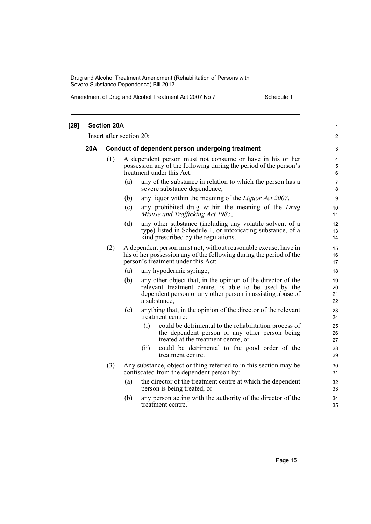| $[29]$ |     | <b>Section 20A</b>                               |                                                                                                                                                                                                           | 1                    |  |  |  |
|--------|-----|--------------------------------------------------|-----------------------------------------------------------------------------------------------------------------------------------------------------------------------------------------------------------|----------------------|--|--|--|
|        |     |                                                  | Insert after section 20:                                                                                                                                                                                  | $\overline{c}$       |  |  |  |
|        | 20A | Conduct of dependent person undergoing treatment |                                                                                                                                                                                                           |                      |  |  |  |
|        |     | (1)                                              | A dependent person must not consume or have in his or her<br>possession any of the following during the period of the person's<br>treatment under this Act:                                               | 4<br>5<br>6          |  |  |  |
|        |     |                                                  | any of the substance in relation to which the person has a<br>(a)<br>severe substance dependence,                                                                                                         | 7<br>8               |  |  |  |
|        |     |                                                  | any liquor within the meaning of the <i>Liquor Act 2007</i> ,<br>(b)                                                                                                                                      | 9                    |  |  |  |
|        |     |                                                  | (c)<br>any prohibited drug within the meaning of the Drug<br>Misuse and Trafficking Act 1985,                                                                                                             | 10<br>11             |  |  |  |
|        |     |                                                  | any other substance (including any volatile solvent of a<br>(d)<br>type) listed in Schedule 1, or intoxicating substance, of a<br>kind prescribed by the regulations.                                     | 12<br>13<br>14       |  |  |  |
|        |     | (2)                                              | A dependent person must not, without reasonable excuse, have in<br>his or her possession any of the following during the period of the<br>person's treatment under this Act:                              | 15<br>16<br>17       |  |  |  |
|        |     |                                                  | (a)<br>any hypodermic syringe,                                                                                                                                                                            | 18                   |  |  |  |
|        |     |                                                  | any other object that, in the opinion of the director of the<br>(b)<br>relevant treatment centre, is able to be used by the<br>dependent person or any other person in assisting abuse of<br>a substance, | 19<br>20<br>21<br>22 |  |  |  |
|        |     |                                                  | anything that, in the opinion of the director of the relevant<br>(c)<br>treatment centre:                                                                                                                 | 23<br>24             |  |  |  |
|        |     |                                                  | (i)<br>could be detrimental to the rehabilitation process of<br>the dependent person or any other person being<br>treated at the treatment centre, or                                                     | 25<br>26<br>27       |  |  |  |
|        |     |                                                  | could be detrimental to the good order of the<br>(ii)<br>treatment centre.                                                                                                                                | 28<br>29             |  |  |  |
|        |     | (3)                                              | Any substance, object or thing referred to in this section may be<br>confiscated from the dependent person by:                                                                                            | 30<br>31             |  |  |  |
|        |     |                                                  | (a)<br>the director of the treatment centre at which the dependent<br>person is being treated, or                                                                                                         | 32<br>33             |  |  |  |
|        |     |                                                  | any person acting with the authority of the director of the<br>(b)<br>treatment centre.                                                                                                                   | 34<br>35             |  |  |  |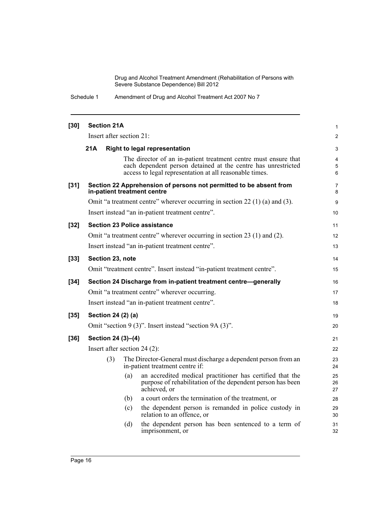Schedule 1 Amendment of Drug and Alcohol Treatment Act 2007 No 7

| $[30]$ | <b>Section 21A</b>             |     |                                                                                                                                                                                             | $\mathbf{1}$        |  |
|--------|--------------------------------|-----|---------------------------------------------------------------------------------------------------------------------------------------------------------------------------------------------|---------------------|--|
|        | Insert after section 21:       |     |                                                                                                                                                                                             | 2                   |  |
|        | 21A                            |     | <b>Right to legal representation</b>                                                                                                                                                        | 3                   |  |
|        |                                |     | The director of an in-patient treatment centre must ensure that<br>each dependent person detained at the centre has unrestricted<br>access to legal representation at all reasonable times. | 4<br>5<br>6         |  |
| $[31]$ |                                |     | Section 22 Apprehension of persons not permitted to be absent from<br>in-patient treatment centre                                                                                           | $\overline{7}$<br>8 |  |
|        |                                |     | Omit "a treatment centre" wherever occurring in section 22 (1) (a) and (3).                                                                                                                 | 9                   |  |
|        |                                |     | Insert instead "an in-patient treatment centre".                                                                                                                                            | 10                  |  |
| $[32]$ |                                |     | <b>Section 23 Police assistance</b>                                                                                                                                                         | 11                  |  |
|        |                                |     | Omit "a treatment centre" wherever occurring in section 23 (1) and (2).                                                                                                                     | 12                  |  |
|        |                                |     | Insert instead "an in-patient treatment centre".                                                                                                                                            | 13                  |  |
| $[33]$ | Section 23, note               |     |                                                                                                                                                                                             |                     |  |
|        |                                |     | Omit "treatment centre". Insert instead "in-patient treatment centre".                                                                                                                      | 15                  |  |
| $[34]$ |                                |     | Section 24 Discharge from in-patient treatment centre-generally                                                                                                                             | 16                  |  |
|        |                                |     | Omit "a treatment centre" wherever occurring.                                                                                                                                               | 17                  |  |
|        |                                |     | Insert instead "an in-patient treatment centre".                                                                                                                                            | 18                  |  |
| $[35]$ | Section 24 (2) (a)             |     |                                                                                                                                                                                             | 19                  |  |
|        |                                |     | Omit "section 9 (3)". Insert instead "section 9A (3)".                                                                                                                                      | 20                  |  |
| $[36]$ | Section 24 (3)-(4)             |     |                                                                                                                                                                                             | 21                  |  |
|        | Insert after section $24(2)$ : |     |                                                                                                                                                                                             | 22                  |  |
|        | (3)                            |     | The Director-General must discharge a dependent person from an<br>in-patient treatment centre if:                                                                                           | 23<br>24            |  |
|        |                                | (a) | an accredited medical practitioner has certified that the<br>purpose of rehabilitation of the dependent person has been<br>achieved, or                                                     | 25<br>26<br>27      |  |
|        |                                | (b) | a court orders the termination of the treatment, or                                                                                                                                         | 28                  |  |
|        |                                | (c) | the dependent person is remanded in police custody in<br>relation to an offence, or                                                                                                         | 29<br>30            |  |
|        |                                | (d) | the dependent person has been sentenced to a term of<br>imprisonment, or                                                                                                                    | 31<br>32            |  |
|        |                                |     |                                                                                                                                                                                             |                     |  |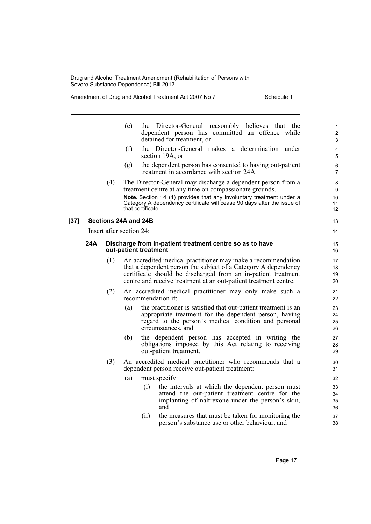|        |     |     | the Director-General reasonably believes that the<br>(e)<br>dependent person has committed an offence while<br>detained for treatment, or                                                                                                                           | $\mathbf{1}$<br>2<br>3 |
|--------|-----|-----|---------------------------------------------------------------------------------------------------------------------------------------------------------------------------------------------------------------------------------------------------------------------|------------------------|
|        |     |     | (f)<br>the Director-General makes a determination under<br>section 19A, or                                                                                                                                                                                          | $\overline{4}$<br>5    |
|        |     |     | the dependent person has consented to having out-patient<br>(g)<br>treatment in accordance with section 24A.                                                                                                                                                        | 6<br>$\overline{7}$    |
|        |     | (4) | The Director-General may discharge a dependent person from a<br>treatment centre at any time on compassionate grounds.                                                                                                                                              | 8<br>9                 |
|        |     |     | Note. Section 14 (1) provides that any involuntary treatment under a<br>Category A dependency certificate will cease 90 days after the issue of<br>that certificate.                                                                                                | 10<br>11<br>12         |
| $[37]$ |     |     | Sections 24A and 24B                                                                                                                                                                                                                                                | 13                     |
|        |     |     | Insert after section 24:                                                                                                                                                                                                                                            | 14                     |
|        | 24A |     | Discharge from in-patient treatment centre so as to have<br>out-patient treatment                                                                                                                                                                                   | 15<br>16               |
|        |     | (1) | An accredited medical practitioner may make a recommendation<br>that a dependent person the subject of a Category A dependency<br>certificate should be discharged from an in-patient treatment<br>centre and receive treatment at an out-patient treatment centre. | 17<br>18<br>19<br>20   |
|        |     | (2) | An accredited medical practitioner may only make such a<br>recommendation if:                                                                                                                                                                                       | 21<br>22               |
|        |     |     | (a)<br>the practitioner is satisfied that out-patient treatment is an<br>appropriate treatment for the dependent person, having<br>regard to the person's medical condition and personal<br>circumstances, and                                                      | 23<br>24<br>25<br>26   |
|        |     |     | the dependent person has accepted in writing the<br>(b)<br>obligations imposed by this Act relating to receiving<br>out-patient treatment.                                                                                                                          | 27<br>28<br>29         |
|        |     | (3) | An accredited medical practitioner who recommends that a<br>dependent person receive out-patient treatment:                                                                                                                                                         | 30<br>31               |
|        |     |     | (a)<br>must specify:                                                                                                                                                                                                                                                | 32                     |
|        |     |     | the intervals at which the dependent person must<br>(i)<br>attend the out-patient treatment centre for the<br>implanting of naltrexone under the person's skin,<br>and                                                                                              | 33<br>34<br>35<br>36   |
|        |     |     | the measures that must be taken for monitoring the<br>(ii)<br>person's substance use or other behaviour, and                                                                                                                                                        | 37<br>38               |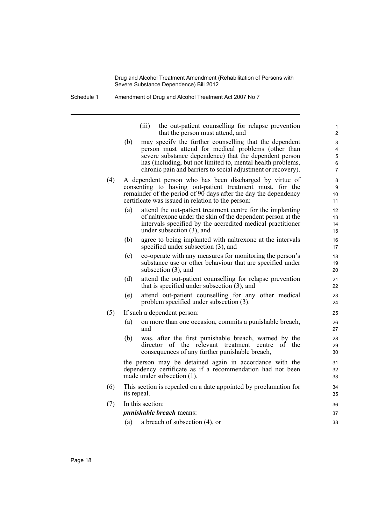Schedule 1 Amendment of Drug and Alcohol Treatment Act 2007 No 7

| (iii) | the out-patient counselling for relapse prevention |
|-------|----------------------------------------------------|
|       | that the person must attend, and                   |
|       |                                                    |

- (b) may specify the further counselling that the dependent person must attend for medical problems (other than severe substance dependence) that the dependent person has (including, but not limited to, mental health problems, chronic pain and barriers to social adjustment or recovery).
- (4) A dependent person who has been discharged by virtue of consenting to having out-patient treatment must, for the remainder of the period of 90 days after the day the dependency certificate was issued in relation to the person:
	- (a) attend the out-patient treatment centre for the implanting of naltrexone under the skin of the dependent person at the intervals specified by the accredited medical practitioner under subsection (3), and
	- (b) agree to being implanted with naltrexone at the intervals specified under subsection (3), and
	- (c) co-operate with any measures for monitoring the person's substance use or other behaviour that are specified under subsection (3), and
	- (d) attend the out-patient counselling for relapse prevention that is specified under subsection (3), and
	- (e) attend out-patient counselling for any other medical problem specified under subsection (3).
- (5) If such a dependent person:
	- (a) on more than one occasion, commits a punishable breach, and
	- (b) was, after the first punishable breach, warned by the director of the relevant treatment centre of the consequences of any further punishable breach,

the person may be detained again in accordance with the dependency certificate as if a recommendation had not been made under subsection (1).

- (6) This section is repealed on a date appointed by proclamation for its repeal.
- (7) In this section: *punishable breach* means:
	- (a) a breach of subsection (4), or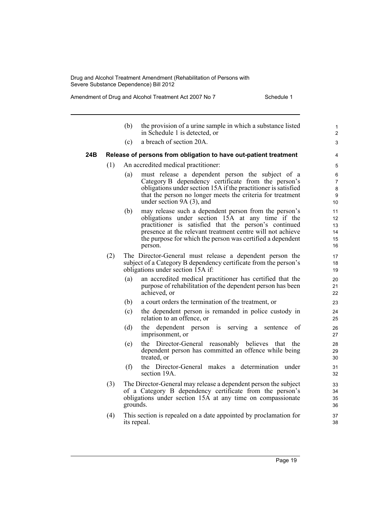|     |     | (b)         | the provision of a urine sample in which a substance listed<br>in Schedule 1 is detected, or                                                                                              | $\mathbf{1}$<br>$\overline{2}$ |
|-----|-----|-------------|-------------------------------------------------------------------------------------------------------------------------------------------------------------------------------------------|--------------------------------|
|     |     | (c)         | a breach of section 20A.                                                                                                                                                                  | 3                              |
| 24B |     |             | Release of persons from obligation to have out-patient treatment                                                                                                                          | 4                              |
|     | (1) |             | An accredited medical practitioner:                                                                                                                                                       | 5                              |
|     |     | (a)         | must release a dependent person the subject of a<br>Category B dependency certificate from the person's                                                                                   | 6<br>$\overline{7}$            |
|     |     |             | obligations under section 15A if the practitioner is satisfied                                                                                                                            | $\bf 8$                        |
|     |     |             | that the person no longer meets the criteria for treatment                                                                                                                                | 9                              |
|     |     |             | under section $9A(3)$ , and                                                                                                                                                               | 10                             |
|     |     | (b)         | may release such a dependent person from the person's                                                                                                                                     | 11                             |
|     |     |             | obligations under section 15A at any time if the<br>practitioner is satisfied that the person's continued                                                                                 | 12<br>13                       |
|     |     |             | presence at the relevant treatment centre will not achieve                                                                                                                                | 14                             |
|     |     |             | the purpose for which the person was certified a dependent                                                                                                                                | 15                             |
|     |     |             | person.                                                                                                                                                                                   | 16                             |
|     | (2) |             | The Director-General must release a dependent person the                                                                                                                                  | 17                             |
|     |     |             | subject of a Category B dependency certificate from the person's                                                                                                                          | 18                             |
|     |     |             | obligations under section 15A if:                                                                                                                                                         | 19                             |
|     |     | (a)         | an accredited medical practitioner has certified that the<br>purpose of rehabilitation of the dependent person has been                                                                   | 20<br>21                       |
|     |     |             | achieved, or                                                                                                                                                                              | 22                             |
|     |     | (b)         | a court orders the termination of the treatment, or                                                                                                                                       | 23                             |
|     |     | (c)         | the dependent person is remanded in police custody in<br>relation to an offence, or                                                                                                       | 24<br>25                       |
|     |     | (d)         | the dependent person<br>serving<br>of<br>is<br>a<br>sentence<br>imprisonment, or                                                                                                          | 26<br>27                       |
|     |     | (e)         | the Director-General reasonably believes that the<br>dependent person has committed an offence while being<br>treated, or                                                                 | 28<br>29<br>30                 |
|     |     | (f)         | the Director-General makes a determination under<br>section 19A.                                                                                                                          | 31<br>32                       |
|     | (3) | grounds.    | The Director-General may release a dependent person the subject<br>of a Category B dependency certificate from the person's<br>obligations under section 15A at any time on compassionate | 33<br>34<br>35<br>36           |
|     | (4) | its repeal. | This section is repealed on a date appointed by proclamation for                                                                                                                          | 37<br>38                       |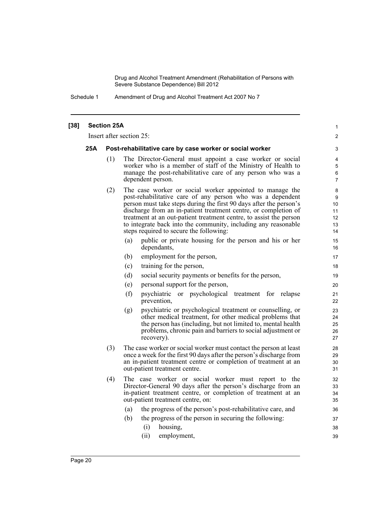Schedule 1 Amendment of Drug and Alcohol Treatment Act 2007 No 7

#### **[38] Section 25A** Insert after section 25: **25A Post-rehabilitative care by case worker or social worker** (1) The Director-General must appoint a case worker or social worker who is a member of staff of the Ministry of Health to manage the post-rehabilitative care of any person who was a dependent person. (2) The case worker or social worker appointed to manage the post-rehabilitative care of any person who was a dependent person must take steps during the first 90 days after the person's discharge from an in-patient treatment centre, or completion of treatment at an out-patient treatment centre, to assist the person to integrate back into the community, including any reasonable steps required to secure the following: (a) public or private housing for the person and his or her dependants, (b) employment for the person, (c) training for the person, (d) social security payments or benefits for the person, (e) personal support for the person, (f) psychiatric or psychological treatment for relapse prevention, (g) psychiatric or psychological treatment or counselling, or other medical treatment, for other medical problems that the person has (including, but not limited to, mental health problems, chronic pain and barriers to social adjustment or recovery). (3) The case worker or social worker must contact the person at least once a week for the first 90 days after the person's discharge from an in-patient treatment centre or completion of treatment at an out-patient treatment centre. (4) The case worker or social worker must report to the Director-General 90 days after the person's discharge from an in-patient treatment centre, or completion of treatment at an out-patient treatment centre, on: (a) the progress of the person's post-rehabilitative care, and (b) the progress of the person in securing the following: (i) housing, (ii) employment, 1  $\mathfrak{p}$ 3 4 5 6 7 8 9 10 11 12 13 14 15 16 17 18 19 20 21 22 23 24 25 26 27 28 29 30 31 32 33 34 35 36 37 38 39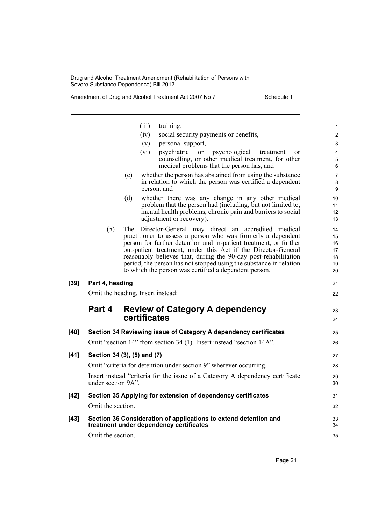|        |                                   |              | (iii)       | training,                                                                                                                                                                                                   | 1                    |
|--------|-----------------------------------|--------------|-------------|-------------------------------------------------------------------------------------------------------------------------------------------------------------------------------------------------------------|----------------------|
|        |                                   |              | (iv)        | social security payments or benefits,                                                                                                                                                                       | $\overline{2}$       |
|        |                                   |              | (v)         | personal support,                                                                                                                                                                                           | 3                    |
|        |                                   |              | (vi)        | psychiatric or psychological<br>treatment<br><sub>or</sub>                                                                                                                                                  | 4                    |
|        |                                   |              |             | counselling, or other medical treatment, for other<br>medical problems that the person has, and                                                                                                             | 5<br>6               |
|        |                                   | (c)          | person, and | whether the person has abstained from using the substance<br>in relation to which the person was certified a dependent                                                                                      | 7<br>8<br>9          |
|        |                                   | (d)          |             | whether there was any change in any other medical<br>problem that the person had (including, but not limited to,<br>mental health problems, chronic pain and barriers to social<br>adjustment or recovery). | 10<br>11<br>12<br>13 |
|        | (5)                               |              |             | The Director-General may direct an accredited medical                                                                                                                                                       | 14                   |
|        |                                   |              |             | practitioner to assess a person who was formerly a dependent<br>person for further detention and in-patient treatment, or further                                                                           | 15                   |
|        |                                   |              |             | out-patient treatment, under this Act if the Director-General                                                                                                                                               | 16<br>17             |
|        |                                   |              |             | reasonably believes that, during the 90-day post-rehabilitation                                                                                                                                             | 18                   |
|        |                                   |              |             | period, the person has not stopped using the substance in relation                                                                                                                                          | 19                   |
|        |                                   |              |             | to which the person was certified a dependent person.                                                                                                                                                       | 20                   |
| [39]   | Part 4, heading                   |              |             |                                                                                                                                                                                                             | 21                   |
|        | Omit the heading. Insert instead: |              |             |                                                                                                                                                                                                             | 22                   |
|        | Part 4                            |              |             | <b>Review of Category A dependency</b>                                                                                                                                                                      | 23                   |
|        |                                   | certificates |             |                                                                                                                                                                                                             | 24                   |
| [40]   |                                   |              |             | Section 34 Reviewing issue of Category A dependency certificates                                                                                                                                            | 25                   |
|        |                                   |              |             | Omit "section 14" from section 34 (1). Insert instead "section 14A".                                                                                                                                        | 26                   |
| [41]   | Section 34 (3), (5) and (7)       |              |             |                                                                                                                                                                                                             | 27                   |
|        |                                   |              |             | Omit "criteria for detention under section 9" wherever occurring.                                                                                                                                           | 28                   |
|        | under section 9A".                |              |             | Insert instead "criteria for the issue of a Category A dependency certificate                                                                                                                               | 29<br>30             |
| [42]   |                                   |              |             | Section 35 Applying for extension of dependency certificates                                                                                                                                                | 31                   |
|        | Omit the section.                 |              |             |                                                                                                                                                                                                             | 32                   |
| $[43]$ |                                   |              |             | Section 36 Consideration of applications to extend detention and<br>treatment under dependency certificates                                                                                                 | 33<br>34             |
|        | Omit the section.                 |              |             |                                                                                                                                                                                                             | 35                   |
|        |                                   |              |             |                                                                                                                                                                                                             |                      |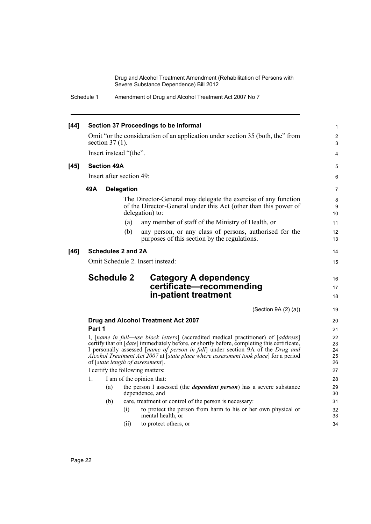Schedule 1 Amendment of Drug and Alcohol Treatment Act 2007 No 7

| $[44]$ | Section 37 Proceedings to be informal                                                                                                                                                                                                                                                                                                                                                           |                    |                           |                                                                                                                                                       |                |  |
|--------|-------------------------------------------------------------------------------------------------------------------------------------------------------------------------------------------------------------------------------------------------------------------------------------------------------------------------------------------------------------------------------------------------|--------------------|---------------------------|-------------------------------------------------------------------------------------------------------------------------------------------------------|----------------|--|
|        |                                                                                                                                                                                                                                                                                                                                                                                                 |                    |                           | Omit "or the consideration of an application under section 35 (both, the" from                                                                        | $\overline{c}$ |  |
|        |                                                                                                                                                                                                                                                                                                                                                                                                 | section $37(1)$ .  |                           |                                                                                                                                                       | 3              |  |
|        |                                                                                                                                                                                                                                                                                                                                                                                                 |                    | Insert instead "(the".    |                                                                                                                                                       | 4              |  |
| $[45]$ |                                                                                                                                                                                                                                                                                                                                                                                                 | <b>Section 49A</b> |                           |                                                                                                                                                       | 5              |  |
|        |                                                                                                                                                                                                                                                                                                                                                                                                 |                    | Insert after section 49:  |                                                                                                                                                       | 6              |  |
|        | 49A                                                                                                                                                                                                                                                                                                                                                                                             |                    | <b>Delegation</b>         |                                                                                                                                                       | 7              |  |
|        |                                                                                                                                                                                                                                                                                                                                                                                                 |                    |                           | The Director-General may delegate the exercise of any function<br>of the Director-General under this Act (other than this power of<br>delegation) to: | 8<br>9<br>10   |  |
|        |                                                                                                                                                                                                                                                                                                                                                                                                 |                    | (a)                       | any member of staff of the Ministry of Health, or                                                                                                     | 11             |  |
|        |                                                                                                                                                                                                                                                                                                                                                                                                 |                    | (b)                       | any person, or any class of persons, authorised for the<br>purposes of this section by the regulations.                                               | 12<br>13       |  |
| [46]   |                                                                                                                                                                                                                                                                                                                                                                                                 |                    | <b>Schedules 2 and 2A</b> |                                                                                                                                                       | 14             |  |
|        | Omit Schedule 2. Insert instead:                                                                                                                                                                                                                                                                                                                                                                |                    |                           |                                                                                                                                                       |                |  |
|        |                                                                                                                                                                                                                                                                                                                                                                                                 | <b>Schedule 2</b>  |                           | Category A dependency<br>certificate-recommending<br>in-patient treatment                                                                             | 16<br>17<br>18 |  |
|        |                                                                                                                                                                                                                                                                                                                                                                                                 |                    |                           | (Section 9A (2) (a))                                                                                                                                  | 19             |  |
|        |                                                                                                                                                                                                                                                                                                                                                                                                 |                    |                           | Drug and Alcohol Treatment Act 2007                                                                                                                   | 20             |  |
|        | Part 1                                                                                                                                                                                                                                                                                                                                                                                          |                    |                           |                                                                                                                                                       | 21             |  |
|        | I, [name in full—use block letters] (accredited medical practitioner) of [address]<br>certify that on [date] immediately before, or shortly before, completing this certificate,<br>I personally assessed [name of person in full] under section 9A of the Drug and<br>Alcohol Treatment Act 2007 at [state place where assessment took place] for a period<br>of [state length of assessment]. |                    |                           |                                                                                                                                                       |                |  |
|        |                                                                                                                                                                                                                                                                                                                                                                                                 |                    |                           | I certify the following matters:                                                                                                                      | 27             |  |
|        | 1.                                                                                                                                                                                                                                                                                                                                                                                              |                    |                           | I am of the opinion that:                                                                                                                             | 28             |  |
|        |                                                                                                                                                                                                                                                                                                                                                                                                 | (a)                |                           | the person I assessed (the <i>dependent person</i> ) has a severe substance<br>dependence, and                                                        | 29<br>30       |  |
|        |                                                                                                                                                                                                                                                                                                                                                                                                 | (b)                |                           | care, treatment or control of the person is necessary:                                                                                                | 31             |  |
|        |                                                                                                                                                                                                                                                                                                                                                                                                 |                    | (i)                       | to protect the person from harm to his or her own physical or<br>mental health, or                                                                    | 32<br>33       |  |
|        |                                                                                                                                                                                                                                                                                                                                                                                                 |                    | (ii)                      | to protect others, or                                                                                                                                 | 34             |  |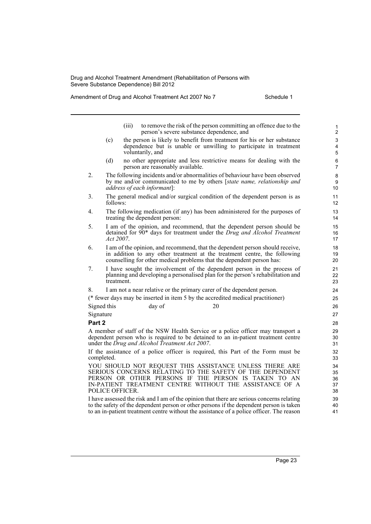Amendment of Drug and Alcohol Treatment Act 2007 No 7 Schedule 1

39 40 41

|             |                                                                                                               | (iii) |                                                | to remove the risk of the person committing an offence due to the<br>person's severe substance dependence, and                                                                                                                      | $\mathbf{1}$<br>$\overline{c}$    |  |  |  |
|-------------|---------------------------------------------------------------------------------------------------------------|-------|------------------------------------------------|-------------------------------------------------------------------------------------------------------------------------------------------------------------------------------------------------------------------------------------|-----------------------------------|--|--|--|
|             | (c)                                                                                                           |       | voluntarily, and                               | the person is likely to benefit from treatment for his or her substance<br>dependence but is unable or unwilling to participate in treatment                                                                                        | 3<br>$\overline{\mathbf{4}}$<br>5 |  |  |  |
|             | (d)                                                                                                           |       | person are reasonably available.               | no other appropriate and less restrictive means for dealing with the                                                                                                                                                                | 6<br>$\overline{7}$               |  |  |  |
| 2.          |                                                                                                               |       | address of each informant]:                    | The following incidents and/or abnormalities of behaviour have been observed<br>by me and/or communicated to me by others [state name, relationship and                                                                             | 8<br>9<br>10                      |  |  |  |
| 3.          | follows:                                                                                                      |       |                                                | The general medical and/or surgical condition of the dependent person is as                                                                                                                                                         | 11<br>12                          |  |  |  |
| 4.          | The following medication (if any) has been administered for the purposes of<br>treating the dependent person: |       |                                                |                                                                                                                                                                                                                                     |                                   |  |  |  |
| 5.          | $Act\,2007$ .                                                                                                 |       |                                                | I am of the opinion, and recommend, that the dependent person should be<br>detained for 90 <sup>*</sup> days for treatment under the Drug and Alcohol Treatment                                                                     | 15<br>16<br>17                    |  |  |  |
| 6.          |                                                                                                               |       |                                                | I am of the opinion, and recommend, that the dependent person should receive,<br>in addition to any other treatment at the treatment centre, the following<br>counselling for other medical problems that the dependent person has: | 18<br>19<br>20                    |  |  |  |
| 7.          | treatment.                                                                                                    |       |                                                | I have sought the involvement of the dependent person in the process of<br>planning and developing a personalised plan for the person's rehabilitation and                                                                          | 21<br>22<br>23                    |  |  |  |
| 8.          |                                                                                                               |       |                                                | I am not a near relative or the primary carer of the dependent person.                                                                                                                                                              | 24                                |  |  |  |
|             |                                                                                                               |       |                                                | (* fewer days may be inserted in item 5 by the accredited medical practitioner)                                                                                                                                                     | 25                                |  |  |  |
| Signed this |                                                                                                               |       | day of                                         | 20                                                                                                                                                                                                                                  | 26                                |  |  |  |
| Signature   |                                                                                                               |       |                                                |                                                                                                                                                                                                                                     | 27                                |  |  |  |
| Part 2      |                                                                                                               |       |                                                |                                                                                                                                                                                                                                     | 28                                |  |  |  |
|             |                                                                                                               |       | under the Drug and Alcohol Treatment Act 2007. | A member of staff of the NSW Health Service or a police officer may transport a<br>dependent person who is required to be detained to an in-patient treatment centre                                                                | 29<br>30<br>31                    |  |  |  |
| completed.  |                                                                                                               |       |                                                | If the assistance of a police officer is required, this Part of the Form must be                                                                                                                                                    | 32<br>33                          |  |  |  |
|             | POLICE OFFICER.                                                                                               |       | PERSON OR OTHER PERSONS IF                     | YOU SHOULD NOT REQUEST THIS ASSISTANCE UNLESS THERE ARE<br>SERIOUS CONCERNS RELATING TO THE SAFETY OF THE DEPENDENT<br>THE PERSON IS TAKEN TO AN<br>IN-PATIENT TREATMENT CENTRE WITHOUT THE ASSISTANCE OF A                         | 34<br>35<br>36<br>37<br>38        |  |  |  |

I have assessed the risk and I am of the opinion that there are serious concerns relating to the safety of the dependent person or other persons if the dependent person is taken to an in-patient treatment centre without the assistance of a police officer. The reason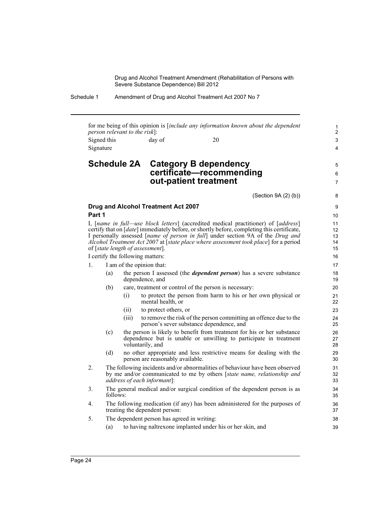Schedule 1 Amendment of Drug and Alcohol Treatment Act 2007 No 7

for me being of this opinion is [*include any information known about the dependent person relevant to the risk*]: Signed this day of 20 Signature

### **Schedule 2A Category B dependency certificate—recommending out-patient treatment**

(Section 9A (2) (b))

5 6 7

## **Drug and Alcohol Treatment Act 2007**

### **Part 1**

I, [*name in full—use block letters*] (accredited medical practitioner) of [*address*] certify that on [*date*] immediately before, or shortly before, completing this certificate, I personally assessed [*name of person in full*] under section 9A of the *Drug and Alcohol Treatment Act 2007* at [*state place where assessment took place*] for a period of [*state length of assessment*].

I certify the following matters:

- 1. I am of the opinion that:
	- (a) the person I assessed (the *dependent person*) has a severe substance dependence, and
	- (b) care, treatment or control of the person is necessary:
		- (i) to protect the person from harm to his or her own physical or mental health, or
		- (ii) to protect others, or
		- (iii) to remove the risk of the person committing an offence due to the person's sever substance dependence, and
	- (c) the person is likely to benefit from treatment for his or her substance dependence but is unable or unwilling to participate in treatment voluntarily, and
	- (d) no other appropriate and less restrictive means for dealing with the person are reasonably available.
- 2. The following incidents and/or abnormalities of behaviour have been observed by me and/or communicated to me by others [*state name, relationship and address of each informant*]:
- 3. The general medical and/or surgical condition of the dependent person is as follows:
- 4. The following medication (if any) has been administered for the purposes of treating the dependent person:
- 5. The dependent person has agreed in writing:
	- (a) to having naltrexone implanted under his or her skin, and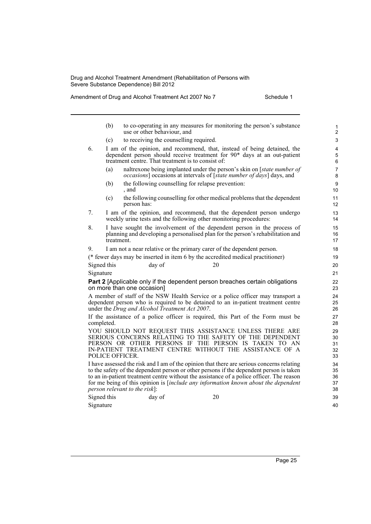Amendment of Drug and Alcohol Treatment Act 2007 No 7 Schedule 1

40

|             | (b)                                                                                                                                                                                                                    |                                                                                                                                                            | use or other behaviour, and |                                                |                                                   | to co-operating in any measures for monitoring the person's substance                                                                                                                                                                                                                                                                                                         | 1<br>$\overline{2}$        |
|-------------|------------------------------------------------------------------------------------------------------------------------------------------------------------------------------------------------------------------------|------------------------------------------------------------------------------------------------------------------------------------------------------------|-----------------------------|------------------------------------------------|---------------------------------------------------|-------------------------------------------------------------------------------------------------------------------------------------------------------------------------------------------------------------------------------------------------------------------------------------------------------------------------------------------------------------------------------|----------------------------|
|             | (c)                                                                                                                                                                                                                    |                                                                                                                                                            |                             | to receiving the counselling required.         |                                                   |                                                                                                                                                                                                                                                                                                                                                                               | 3                          |
| 6.          | I am of the opinion, and recommend, that, instead of being detained, the<br>dependent person should receive treatment for 90 <sup>*</sup> days at an out-patient<br>treatment centre. That treatment is to consist of: |                                                                                                                                                            |                             |                                                |                                                   |                                                                                                                                                                                                                                                                                                                                                                               | 4<br>5<br>6                |
|             | (a)                                                                                                                                                                                                                    |                                                                                                                                                            |                             |                                                |                                                   | naltrexone being implanted under the person's skin on [ <i>state number of</i><br><i>occasions</i> ] occasions at intervals of [ <i>state number of days</i> ] days, and                                                                                                                                                                                                      | $\overline{7}$<br>8        |
|             | (b)                                                                                                                                                                                                                    | , and                                                                                                                                                      |                             |                                                | the following counselling for relapse prevention: |                                                                                                                                                                                                                                                                                                                                                                               | 9<br>10                    |
|             | (c)                                                                                                                                                                                                                    | person has:                                                                                                                                                |                             |                                                |                                                   | the following counselling for other medical problems that the dependent                                                                                                                                                                                                                                                                                                       | 11<br>12                   |
| 7.          |                                                                                                                                                                                                                        | I am of the opinion, and recommend, that the dependent person undergo<br>weekly urine tests and the following other monitoring procedures:                 |                             |                                                |                                                   |                                                                                                                                                                                                                                                                                                                                                                               |                            |
| 8.          | treatment.                                                                                                                                                                                                             | I have sought the involvement of the dependent person in the process of<br>planning and developing a personalised plan for the person's rehabilitation and |                             |                                                |                                                   |                                                                                                                                                                                                                                                                                                                                                                               |                            |
| 9.          |                                                                                                                                                                                                                        |                                                                                                                                                            |                             |                                                |                                                   | I am not a near relative or the primary carer of the dependent person.                                                                                                                                                                                                                                                                                                        | 18                         |
|             |                                                                                                                                                                                                                        |                                                                                                                                                            |                             |                                                |                                                   | (* fewer days may be inserted in item 6 by the accredited medical practitioner)                                                                                                                                                                                                                                                                                               | 19                         |
| Signed this |                                                                                                                                                                                                                        |                                                                                                                                                            | day of                      |                                                | 20                                                |                                                                                                                                                                                                                                                                                                                                                                               | 20                         |
| Signature   |                                                                                                                                                                                                                        |                                                                                                                                                            |                             |                                                |                                                   |                                                                                                                                                                                                                                                                                                                                                                               | 21                         |
|             |                                                                                                                                                                                                                        | on more than one occasion]                                                                                                                                 |                             |                                                |                                                   | Part 2 [Applicable only if the dependent person breaches certain obligations                                                                                                                                                                                                                                                                                                  | 22<br>23                   |
|             |                                                                                                                                                                                                                        |                                                                                                                                                            |                             | under the Drug and Alcohol Treatment Act 2007. |                                                   | A member of staff of the NSW Health Service or a police officer may transport a<br>dependent person who is required to be detained to an in-patient treatment centre                                                                                                                                                                                                          | 24<br>25<br>26             |
| completed.  |                                                                                                                                                                                                                        |                                                                                                                                                            |                             |                                                |                                                   | If the assistance of a police officer is required, this Part of the Form must be                                                                                                                                                                                                                                                                                              | 27<br>28                   |
|             | POLICE OFFICER.                                                                                                                                                                                                        |                                                                                                                                                            |                             |                                                |                                                   | YOU SHOULD NOT REQUEST THIS ASSISTANCE UNLESS THERE ARE<br>SERIOUS CONCERNS RELATING TO THE SAFETY OF THE DEPENDENT<br>PERSON OR OTHER PERSONS IF THE PERSON IS TAKEN TO AN<br>IN-PATIENT TREATMENT CENTRE WITHOUT THE ASSISTANCE OF A                                                                                                                                        | 29<br>30<br>31<br>32<br>33 |
|             |                                                                                                                                                                                                                        | person relevant to the risk]:                                                                                                                              |                             |                                                |                                                   | I have assessed the risk and I am of the opinion that there are serious concerns relating<br>to the safety of the dependent person or other persons if the dependent person is taken<br>to an in-patient treatment centre without the assistance of a police officer. The reason<br>for me being of this opinion is <i>[include any information known about the dependent</i> | 34<br>35<br>36<br>37<br>38 |
| Signed this |                                                                                                                                                                                                                        |                                                                                                                                                            | day of                      |                                                | 20                                                |                                                                                                                                                                                                                                                                                                                                                                               | 39                         |

Signature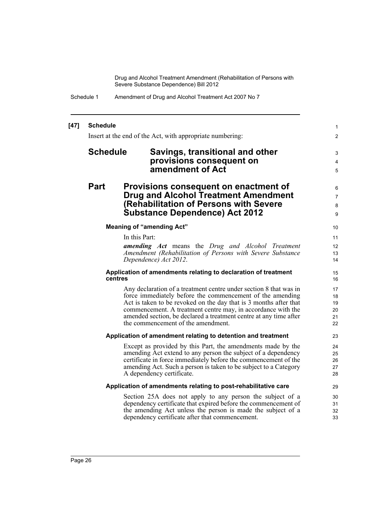| Schedule 1 | Amendment of Drug and Alcohol Treatment Act 2007 No 7 |
|------------|-------------------------------------------------------|
|------------|-------------------------------------------------------|

#### **[47] Schedule** Insert at the end of the Act, with appropriate numbering: **Schedule Savings, transitional and other provisions consequent on amendment of Act Part Provisions consequent on enactment of Drug and Alcohol Treatment Amendment (Rehabilitation of Persons with Severe Substance Dependence) Act 2012 Meaning of "amending Act"** In this Part: *amending Act* means the *Drug and Alcohol Treatment Amendment (Rehabilitation of Persons with Severe Substance Dependence) Act 2012*. **Application of amendments relating to declaration of treatment centres** Any declaration of a treatment centre under section 8 that was in force immediately before the commencement of the amending Act is taken to be revoked on the day that is 3 months after that commencement. A treatment centre may, in accordance with the amended section, be declared a treatment centre at any time after the commencement of the amendment. **Application of amendment relating to detention and treatment** Except as provided by this Part, the amendments made by the amending Act extend to any person the subject of a dependency certificate in force immediately before the commencement of the amending Act. Such a person is taken to be subject to a Category A dependency certificate. **Application of amendments relating to post-rehabilitative care** Section 25A does not apply to any person the subject of a dependency certificate that expired before the commencement of the amending Act unless the person is made the subject of a dependency certificate after that commencement. 1  $\mathfrak{p}$ 3 4 5 6 7 8 9 10 11 12 13 14 15 16 17 18 19  $20$ 21 22 23  $24$ 25 26 27 28 29 30 31 32 33